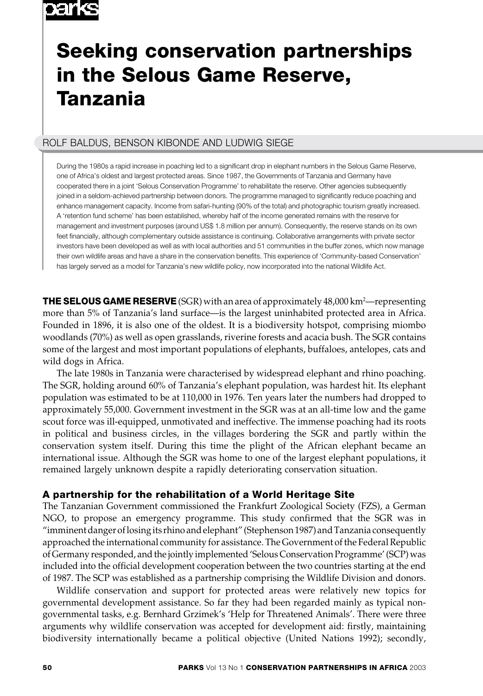# oarks

# **Seeking conservation partnerships in the Selous Game Reserve, Tanzania**

# ROLF BALDUS, BENSON KIBONDE AND LUDWIG SIEGE

During the 1980s a rapid increase in poaching led to a significant drop in elephant numbers in the Selous Game Reserve, one of Africa's oldest and largest protected areas. Since 1987, the Governments of Tanzania and Germany have cooperated there in a joint 'Selous Conservation Programme' to rehabilitate the reserve. Other agencies subsequently joined in a seldom-achieved partnership between donors. The programme managed to significantly reduce poaching and enhance management capacity. Income from safari-hunting (90% of the total) and photographic tourism greatly increased. A 'retention fund scheme' has been established, whereby half of the income generated remains with the reserve for management and investment purposes (around US\$ 1.8 million per annum). Consequently, the reserve stands on its own feet financially, although complementary outside assistance is continuing. Collaborative arrangements with private sector investors have been developed as well as with local authorities and 51 communities in the buffer zones, which now manage their own wildlife areas and have a share in the conservation benefits. This experience of 'Community-based Conservation' has largely served as a model for Tanzania's new wildlife policy, now incorporated into the national Wildlife Act.

**THE SELOUS GAME RESERVE** (SGR) with an area of approximately 48,000 km<sup>2</sup>—representing more than 5% of Tanzania's land surface—is the largest uninhabited protected area in Africa. Founded in 1896, it is also one of the oldest. It is a biodiversity hotspot, comprising miombo woodlands (70%) as well as open grasslands, riverine forests and acacia bush. The SGR contains some of the largest and most important populations of elephants, buffaloes, antelopes, cats and wild dogs in Africa.

The late 1980s in Tanzania were characterised by widespread elephant and rhino poaching. The SGR, holding around 60% of Tanzania's elephant population, was hardest hit. Its elephant population was estimated to be at 110,000 in 1976. Ten years later the numbers had dropped to approximately 55,000. Government investment in the SGR was at an all-time low and the game scout force was ill-equipped, unmotivated and ineffective. The immense poaching had its roots in political and business circles, in the villages bordering the SGR and partly within the conservation system itself. During this time the plight of the African elephant became an international issue. Although the SGR was home to one of the largest elephant populations, it remained largely unknown despite a rapidly deteriorating conservation situation.

# **A partnership for the rehabilitation of a World Heritage Site**

The Tanzanian Government commissioned the Frankfurt Zoological Society (FZS), a German NGO, to propose an emergency programme. This study confirmed that the SGR was in "imminent danger of losing its rhino and elephant" (Stephenson 1987) and Tanzania consequently approached the international community for assistance. The Government of the Federal Republic of Germany responded, and the jointly implemented 'Selous Conservation Programme' (SCP) was included into the official development cooperation between the two countries starting at the end of 1987. The SCP was established as a partnership comprising the Wildlife Division and donors.

Wildlife conservation and support for protected areas were relatively new topics for governmental development assistance. So far they had been regarded mainly as typical nongovernmental tasks, e.g. Bernhard Grzimek's 'Help for Threatened Animals'. There were three arguments why wildlife conservation was accepted for development aid: firstly, maintaining biodiversity internationally became a political objective (United Nations 1992); secondly,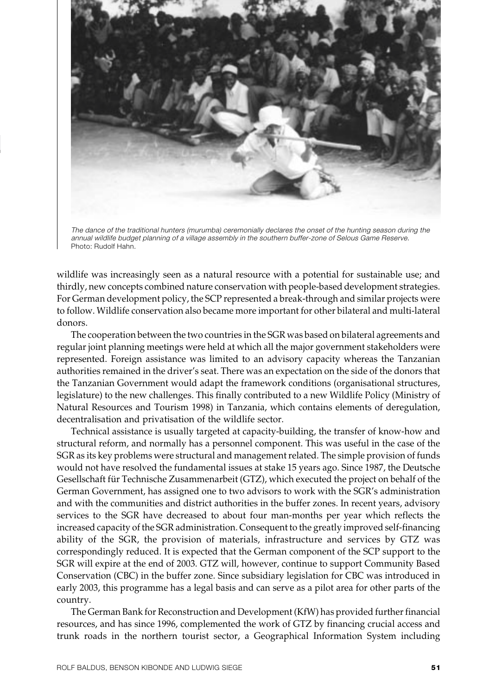

The dance of the traditional hunters (murumba) ceremonially declares the onset of the hunting season during the annual wildlife budget planning of a village assembly in the southern buffer-zone of Selous Game Reserve. Photo: Rudolf Hahn.

wildlife was increasingly seen as a natural resource with a potential for sustainable use; and thirdly, new concepts combined nature conservation with people-based development strategies. For German development policy, the SCP represented a break-through and similar projects were to follow. Wildlife conservation also became more important for other bilateral and multi-lateral donors.

The cooperation between the two countries in the SGR was based on bilateral agreements and regular joint planning meetings were held at which all the major government stakeholders were represented. Foreign assistance was limited to an advisory capacity whereas the Tanzanian authorities remained in the driver's seat. There was an expectation on the side of the donors that the Tanzanian Government would adapt the framework conditions (organisational structures, legislature) to the new challenges. This finally contributed to a new Wildlife Policy (Ministry of Natural Resources and Tourism 1998) in Tanzania, which contains elements of deregulation, decentralisation and privatisation of the wildlife sector.

Technical assistance is usually targeted at capacity-building, the transfer of know-how and structural reform, and normally has a personnel component. This was useful in the case of the SGR as its key problems were structural and management related. The simple provision of funds would not have resolved the fundamental issues at stake 15 years ago. Since 1987, the Deutsche Gesellschaft für Technische Zusammenarbeit (GTZ), which executed the project on behalf of the German Government, has assigned one to two advisors to work with the SGR's administration and with the communities and district authorities in the buffer zones. In recent years, advisory services to the SGR have decreased to about four man-months per year which reflects the increased capacity of the SGR administration. Consequent to the greatly improved self-financing ability of the SGR, the provision of materials, infrastructure and services by GTZ was correspondingly reduced. It is expected that the German component of the SCP support to the SGR will expire at the end of 2003. GTZ will, however, continue to support Community Based Conservation (CBC) in the buffer zone. Since subsidiary legislation for CBC was introduced in early 2003, this programme has a legal basis and can serve as a pilot area for other parts of the country.

The German Bank for Reconstruction and Development (KfW) has provided further financial resources, and has since 1996, complemented the work of GTZ by financing crucial access and trunk roads in the northern tourist sector, a Geographical Information System including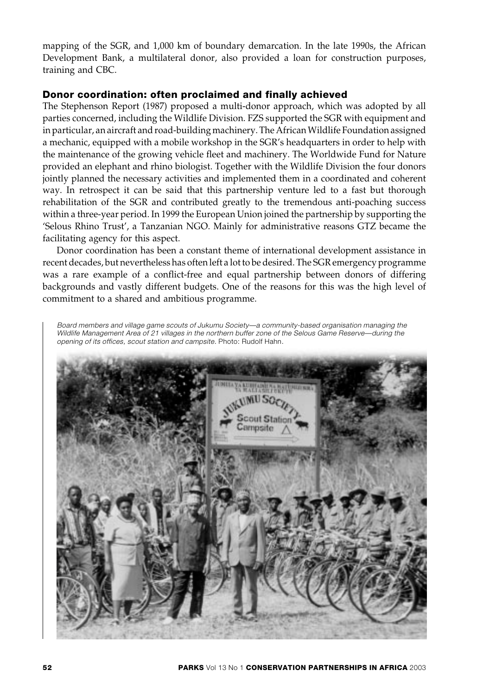mapping of the SGR, and 1,000 km of boundary demarcation. In the late 1990s, the African Development Bank, a multilateral donor, also provided a loan for construction purposes, training and CBC.

## **Donor coordination: often proclaimed and finally achieved**

The Stephenson Report (1987) proposed a multi-donor approach, which was adopted by all parties concerned, including the Wildlife Division. FZS supported the SGR with equipment and in particular, an aircraft and road-building machinery. The African Wildlife Foundation assigned a mechanic, equipped with a mobile workshop in the SGR's headquarters in order to help with the maintenance of the growing vehicle fleet and machinery. The Worldwide Fund for Nature provided an elephant and rhino biologist. Together with the Wildlife Division the four donors jointly planned the necessary activities and implemented them in a coordinated and coherent way. In retrospect it can be said that this partnership venture led to a fast but thorough rehabilitation of the SGR and contributed greatly to the tremendous anti-poaching success within a three-year period. In 1999 the European Union joined the partnership by supporting the 'Selous Rhino Trust', a Tanzanian NGO. Mainly for administrative reasons GTZ became the facilitating agency for this aspect.

Donor coordination has been a constant theme of international development assistance in recent decades, but nevertheless has often left a lot to be desired. The SGR emergency programme was a rare example of a conflict-free and equal partnership between donors of differing backgrounds and vastly different budgets. One of the reasons for this was the high level of commitment to a shared and ambitious programme.

Board members and village game scouts of Jukumu Society—a community-based organisation managing the Wildlife Management Area of 21 villages in the northern buffer zone of the Selous Game Reserve—during the opening of its offices, scout station and campsite. Photo: Rudolf Hahn.

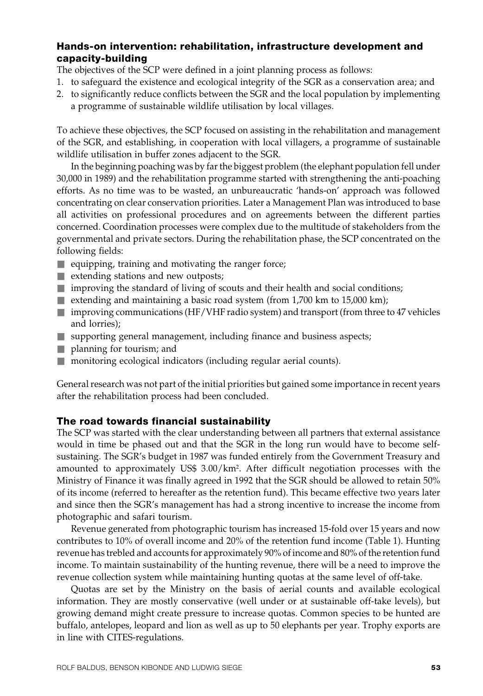# **Hands-on intervention: rehabilitation, infrastructure development and capacity-building**

The objectives of the SCP were defined in a joint planning process as follows:

- 1. to safeguard the existence and ecological integrity of the SGR as a conservation area; and
- 2. to significantly reduce conflicts between the SGR and the local population by implementing a programme of sustainable wildlife utilisation by local villages.

To achieve these objectives, the SCP focused on assisting in the rehabilitation and management of the SGR, and establishing, in cooperation with local villagers, a programme of sustainable wildlife utilisation in buffer zones adjacent to the SGR.

In the beginning poaching was by far the biggest problem (the elephant population fell under 30,000 in 1989) and the rehabilitation programme started with strengthening the anti-poaching efforts. As no time was to be wasted, an unbureaucratic 'hands-on' approach was followed concentrating on clear conservation priorities. Later a Management Plan was introduced to base all activities on professional procedures and on agreements between the different parties concerned. Coordination processes were complex due to the multitude of stakeholders from the governmental and private sectors. During the rehabilitation phase, the SCP concentrated on the following fields:

- $\blacksquare$  equipping, training and motivating the ranger force;
- extending stations and new outposts;
- $\blacksquare$  improving the standard of living of scouts and their health and social conditions;
- extending and maintaining a basic road system (from 1,700 km to 15,000 km);
- improving communications (HF/VHF radio system) and transport (from three to 47 vehicles and lorries);
- supporting general management, including finance and business aspects;
- planning for tourism; and
- monitoring ecological indicators (including regular aerial counts).

General research was not part of the initial priorities but gained some importance in recent years after the rehabilitation process had been concluded.

## **The road towards financial sustainability**

The SCP was started with the clear understanding between all partners that external assistance would in time be phased out and that the SGR in the long run would have to become selfsustaining. The SGR's budget in 1987 was funded entirely from the Government Treasury and amounted to approximately US\$ 3.00/km<sup>2</sup>. After difficult negotiation processes with the Ministry of Finance it was finally agreed in 1992 that the SGR should be allowed to retain 50% of its income (referred to hereafter as the retention fund). This became effective two years later and since then the SGR's management has had a strong incentive to increase the income from photographic and safari tourism.

Revenue generated from photographic tourism has increased 15-fold over 15 years and now contributes to 10% of overall income and 20% of the retention fund income (Table 1). Hunting revenue has trebled and accounts for approximately 90% of income and 80% of the retention fund income. To maintain sustainability of the hunting revenue, there will be a need to improve the revenue collection system while maintaining hunting quotas at the same level of off-take.

Quotas are set by the Ministry on the basis of aerial counts and available ecological information. They are mostly conservative (well under or at sustainable off-take levels), but growing demand might create pressure to increase quotas. Common species to be hunted are buffalo, antelopes, leopard and lion as well as up to 50 elephants per year. Trophy exports are in line with CITES-regulations.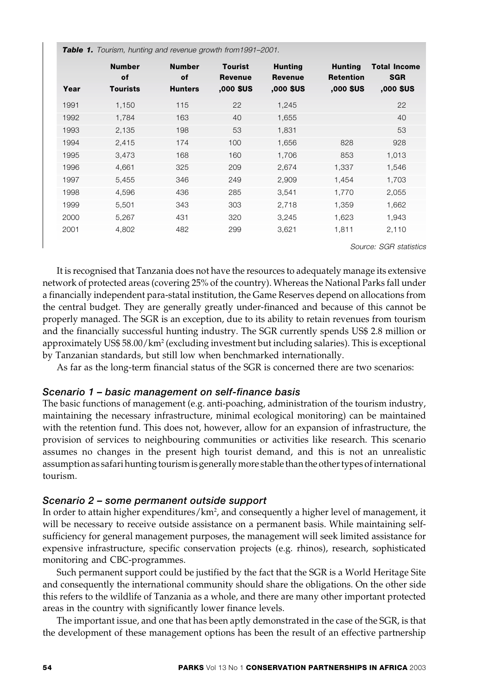|      | <b>Table 1.</b> Tourism, hunting and revenue growth from 1991–2001. |                                       |                                               |                                               |                                                 |                                                |
|------|---------------------------------------------------------------------|---------------------------------------|-----------------------------------------------|-----------------------------------------------|-------------------------------------------------|------------------------------------------------|
| Year | <b>Number</b><br>of<br><b>Tourists</b>                              | <b>Number</b><br>of<br><b>Hunters</b> | <b>Tourist</b><br><b>Revenue</b><br>,000 \$US | <b>Hunting</b><br><b>Revenue</b><br>,000 \$US | <b>Hunting</b><br><b>Retention</b><br>,000 \$US | <b>Total Income</b><br><b>SGR</b><br>,000 \$US |
| 1991 | 1,150                                                               | 115                                   | 22                                            | 1,245                                         |                                                 | 22                                             |
| 1992 | 1.784                                                               | 163                                   | 40                                            | 1.655                                         |                                                 | 40                                             |
| 1993 | 2,135                                                               | 198                                   | 53                                            | 1,831                                         |                                                 | 53                                             |
| 1994 | 2,415                                                               | 174                                   | 100                                           | 1,656                                         | 828                                             | 928                                            |
| 1995 | 3,473                                                               | 168                                   | 160                                           | 1,706                                         | 853                                             | 1,013                                          |
| 1996 | 4,661                                                               | 325                                   | 209                                           | 2,674                                         | 1,337                                           | 1,546                                          |
| 1997 | 5,455                                                               | 346                                   | 249                                           | 2,909                                         | 1,454                                           | 1,703                                          |
| 1998 | 4.596                                                               | 436                                   | 285                                           | 3,541                                         | 1.770                                           | 2,055                                          |
| 1999 | 5,501                                                               | 343                                   | 303                                           | 2,718                                         | 1,359                                           | 1,662                                          |
| 2000 | 5,267                                                               | 431                                   | 320                                           | 3,245                                         | 1,623                                           | 1,943                                          |
| 2001 | 4,802                                                               | 482                                   | 299                                           | 3,621                                         | 1,811                                           | 2,110                                          |

Source: SGR statistics

It is recognised that Tanzania does not have the resources to adequately manage its extensive network of protected areas (covering 25% of the country). Whereas the National Parks fall under a financially independent para-statal institution, the Game Reserves depend on allocations from the central budget. They are generally greatly under-financed and because of this cannot be properly managed. The SGR is an exception, due to its ability to retain revenues from tourism and the financially successful hunting industry. The SGR currently spends US\$ 2.8 million or approximately US\$ 58.00/km² (excluding investment but including salaries). This is exceptional by Tanzanian standards, but still low when benchmarked internationally.

As far as the long-term financial status of the SGR is concerned there are two scenarios:

## *Scenario 1 – basic management on self-finance basis*

The basic functions of management (e.g. anti-poaching, administration of the tourism industry, maintaining the necessary infrastructure, minimal ecological monitoring) can be maintained with the retention fund. This does not, however, allow for an expansion of infrastructure, the provision of services to neighbouring communities or activities like research. This scenario assumes no changes in the present high tourist demand, and this is not an unrealistic assumption as safari hunting tourism is generally more stable than the other types of international tourism.

## *Scenario 2 – some permanent outside support*

In order to attain higher expenditures/km², and consequently a higher level of management, it will be necessary to receive outside assistance on a permanent basis. While maintaining selfsufficiency for general management purposes, the management will seek limited assistance for expensive infrastructure, specific conservation projects (e.g. rhinos), research, sophisticated monitoring and CBC-programmes.

Such permanent support could be justified by the fact that the SGR is a World Heritage Site and consequently the international community should share the obligations. On the other side this refers to the wildlife of Tanzania as a whole, and there are many other important protected areas in the country with significantly lower finance levels.

The important issue, and one that has been aptly demonstrated in the case of the SGR, is that the development of these management options has been the result of an effective partnership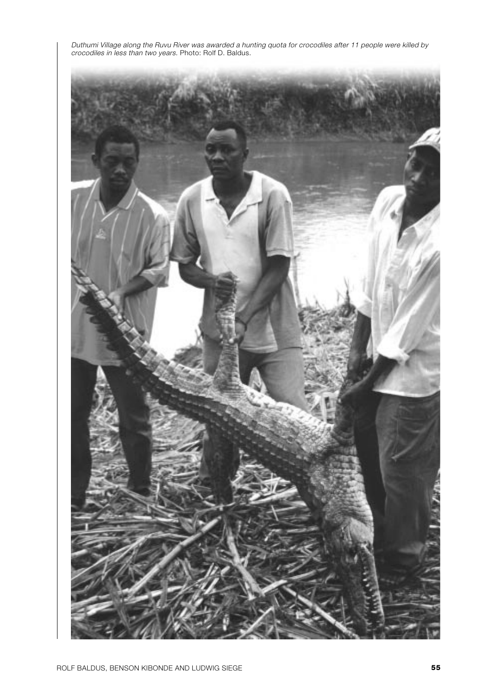Duthumi Village along the Ruvu River was awarded a hunting quota for crocodiles after 11 people were killed by crocodiles in less than two years. Photo: Rolf D. Baldus.

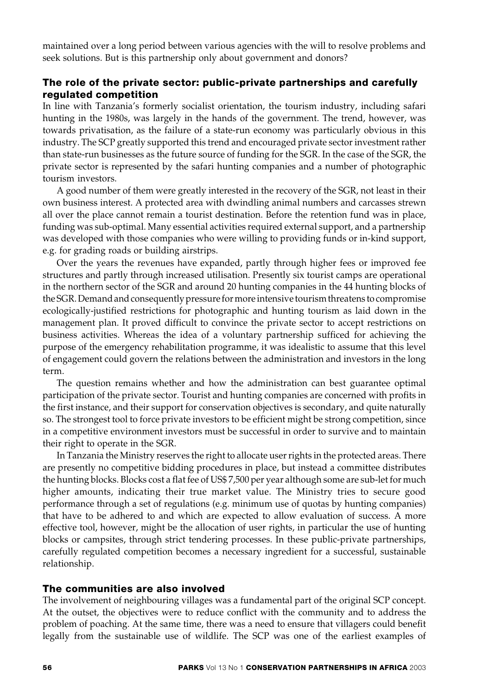maintained over a long period between various agencies with the will to resolve problems and seek solutions. But is this partnership only about government and donors?

# **The role of the private sector: public-private partnerships and carefully regulated competition**

In line with Tanzania's formerly socialist orientation, the tourism industry, including safari hunting in the 1980s, was largely in the hands of the government. The trend, however, was towards privatisation, as the failure of a state-run economy was particularly obvious in this industry. The SCP greatly supported this trend and encouraged private sector investment rather than state-run businesses as the future source of funding for the SGR. In the case of the SGR, the private sector is represented by the safari hunting companies and a number of photographic tourism investors.

A good number of them were greatly interested in the recovery of the SGR, not least in their own business interest. A protected area with dwindling animal numbers and carcasses strewn all over the place cannot remain a tourist destination. Before the retention fund was in place, funding was sub-optimal. Many essential activities required external support, and a partnership was developed with those companies who were willing to providing funds or in-kind support, e.g. for grading roads or building airstrips.

Over the years the revenues have expanded, partly through higher fees or improved fee structures and partly through increased utilisation. Presently six tourist camps are operational in the northern sector of the SGR and around 20 hunting companies in the 44 hunting blocks of the SGR. Demand and consequently pressure for more intensive tourism threatens to compromise ecologically-justified restrictions for photographic and hunting tourism as laid down in the management plan. It proved difficult to convince the private sector to accept restrictions on business activities. Whereas the idea of a voluntary partnership sufficed for achieving the purpose of the emergency rehabilitation programme, it was idealistic to assume that this level of engagement could govern the relations between the administration and investors in the long term.

The question remains whether and how the administration can best guarantee optimal participation of the private sector. Tourist and hunting companies are concerned with profits in the first instance, and their support for conservation objectives is secondary, and quite naturally so. The strongest tool to force private investors to be efficient might be strong competition, since in a competitive environment investors must be successful in order to survive and to maintain their right to operate in the SGR.

In Tanzania the Ministry reserves the right to allocate user rights in the protected areas. There are presently no competitive bidding procedures in place, but instead a committee distributes the hunting blocks. Blocks cost a flat fee of US\$ 7,500 per year although some are sub-let for much higher amounts, indicating their true market value. The Ministry tries to secure good performance through a set of regulations (e.g. minimum use of quotas by hunting companies) that have to be adhered to and which are expected to allow evaluation of success. A more effective tool, however, might be the allocation of user rights, in particular the use of hunting blocks or campsites, through strict tendering processes. In these public-private partnerships, carefully regulated competition becomes a necessary ingredient for a successful, sustainable relationship.

## **The communities are also involved**

The involvement of neighbouring villages was a fundamental part of the original SCP concept. At the outset, the objectives were to reduce conflict with the community and to address the problem of poaching. At the same time, there was a need to ensure that villagers could benefit legally from the sustainable use of wildlife. The SCP was one of the earliest examples of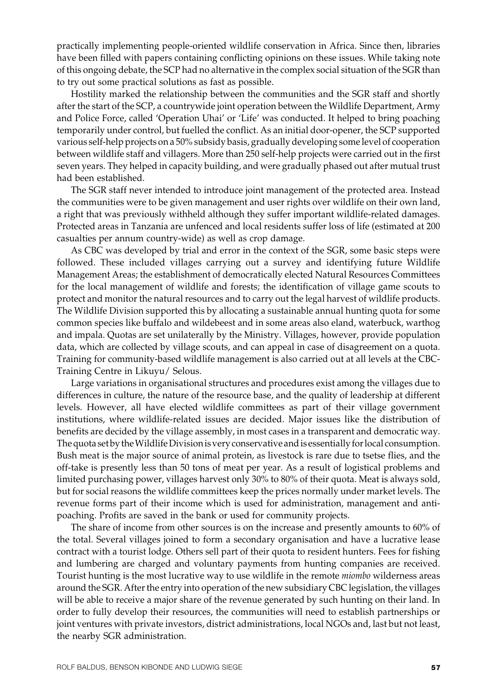practically implementing people-oriented wildlife conservation in Africa. Since then, libraries have been filled with papers containing conflicting opinions on these issues. While taking note of this ongoing debate, the SCP had no alternative in the complex social situation of the SGR than to try out some practical solutions as fast as possible.

Hostility marked the relationship between the communities and the SGR staff and shortly after the start of the SCP, a countrywide joint operation between the Wildlife Department, Army and Police Force, called 'Operation Uhai' or 'Life' was conducted. It helped to bring poaching temporarily under control, but fuelled the conflict. As an initial door-opener, the SCP supported various self-help projects on a 50% subsidy basis, gradually developing some level of cooperation between wildlife staff and villagers. More than 250 self-help projects were carried out in the first seven years. They helped in capacity building, and were gradually phased out after mutual trust had been established.

The SGR staff never intended to introduce joint management of the protected area. Instead the communities were to be given management and user rights over wildlife on their own land, a right that was previously withheld although they suffer important wildlife-related damages. Protected areas in Tanzania are unfenced and local residents suffer loss of life (estimated at 200 casualties per annum country-wide) as well as crop damage.

As CBC was developed by trial and error in the context of the SGR, some basic steps were followed. These included villages carrying out a survey and identifying future Wildlife Management Areas; the establishment of democratically elected Natural Resources Committees for the local management of wildlife and forests; the identification of village game scouts to protect and monitor the natural resources and to carry out the legal harvest of wildlife products. The Wildlife Division supported this by allocating a sustainable annual hunting quota for some common species like buffalo and wildebeest and in some areas also eland, waterbuck, warthog and impala. Quotas are set unilaterally by the Ministry. Villages, however, provide population data, which are collected by village scouts, and can appeal in case of disagreement on a quota. Training for community-based wildlife management is also carried out at all levels at the CBC-Training Centre in Likuyu/ Selous.

Large variations in organisational structures and procedures exist among the villages due to differences in culture, the nature of the resource base, and the quality of leadership at different levels. However, all have elected wildlife committees as part of their village government institutions, where wildlife-related issues are decided. Major issues like the distribution of benefits are decided by the village assembly, in most cases in a transparent and democratic way. The quota set by the Wildlife Division is very conservative and is essentially for local consumption. Bush meat is the major source of animal protein, as livestock is rare due to tsetse flies, and the off-take is presently less than 50 tons of meat per year. As a result of logistical problems and limited purchasing power, villages harvest only 30% to 80% of their quota. Meat is always sold, but for social reasons the wildlife committees keep the prices normally under market levels. The revenue forms part of their income which is used for administration, management and antipoaching. Profits are saved in the bank or used for community projects.

The share of income from other sources is on the increase and presently amounts to 60% of the total. Several villages joined to form a secondary organisation and have a lucrative lease contract with a tourist lodge. Others sell part of their quota to resident hunters. Fees for fishing and lumbering are charged and voluntary payments from hunting companies are received. Tourist hunting is the most lucrative way to use wildlife in the remote *miombo* wilderness areas around the SGR. After the entry into operation of the new subsidiary CBC legislation, the villages will be able to receive a major share of the revenue generated by such hunting on their land. In order to fully develop their resources, the communities will need to establish partnerships or joint ventures with private investors, district administrations, local NGOs and, last but not least, the nearby SGR administration.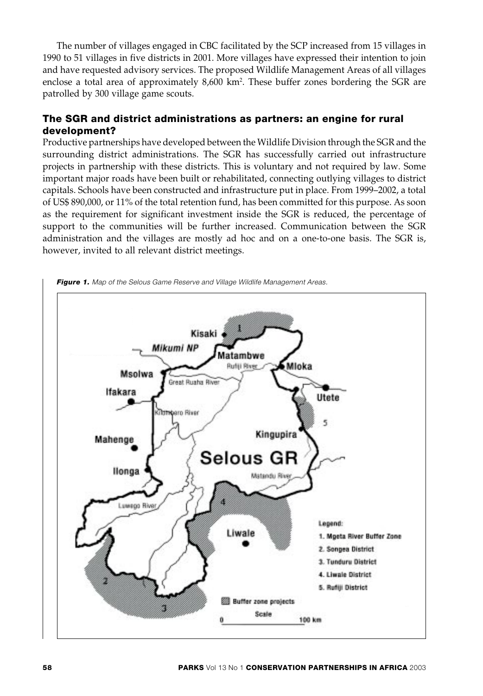The number of villages engaged in CBC facilitated by the SCP increased from 15 villages in 1990 to 51 villages in five districts in 2001. More villages have expressed their intention to join and have requested advisory services. The proposed Wildlife Management Areas of all villages enclose a total area of approximately 8,600 km<sup>2</sup>. These buffer zones bordering the SGR are patrolled by 300 village game scouts.

# **The SGR and district administrations as partners: an engine for rural development?**

Productive partnerships have developed between the Wildlife Division through the SGR and the surrounding district administrations. The SGR has successfully carried out infrastructure projects in partnership with these districts. This is voluntary and not required by law. Some important major roads have been built or rehabilitated, connecting outlying villages to district capitals. Schools have been constructed and infrastructure put in place. From 1999–2002, a total of US\$ 890,000, or 11% of the total retention fund, has been committed for this purpose. As soon as the requirement for significant investment inside the SGR is reduced, the percentage of support to the communities will be further increased. Communication between the SGR administration and the villages are mostly ad hoc and on a one-to-one basis. The SGR is, however, invited to all relevant district meetings.



**Figure 1.** Map of the Selous Game Reserve and Village Wildlife Management Areas.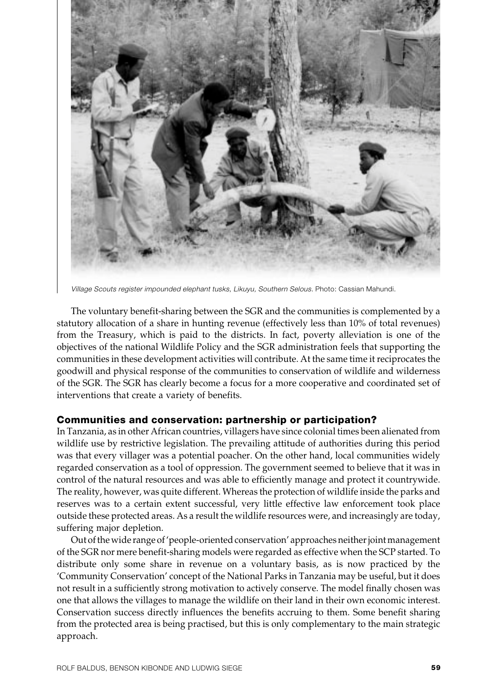

Village Scouts register impounded elephant tusks, Likuyu, Southern Selous. Photo: Cassian Mahundi.

The voluntary benefit-sharing between the SGR and the communities is complemented by a statutory allocation of a share in hunting revenue (effectively less than 10% of total revenues) from the Treasury, which is paid to the districts. In fact, poverty alleviation is one of the objectives of the national Wildlife Policy and the SGR administration feels that supporting the communities in these development activities will contribute. At the same time it reciprocates the goodwill and physical response of the communities to conservation of wildlife and wilderness of the SGR. The SGR has clearly become a focus for a more cooperative and coordinated set of interventions that create a variety of benefits.

## **Communities and conservation: partnership or participation?**

In Tanzania, as in other African countries, villagers have since colonial times been alienated from wildlife use by restrictive legislation. The prevailing attitude of authorities during this period was that every villager was a potential poacher. On the other hand, local communities widely regarded conservation as a tool of oppression. The government seemed to believe that it was in control of the natural resources and was able to efficiently manage and protect it countrywide. The reality, however, was quite different. Whereas the protection of wildlife inside the parks and reserves was to a certain extent successful, very little effective law enforcement took place outside these protected areas. As a result the wildlife resources were, and increasingly are today, suffering major depletion.

Out of the wide range of 'people-oriented conservation' approaches neither joint management of the SGR nor mere benefit-sharing models were regarded as effective when the SCP started. To distribute only some share in revenue on a voluntary basis, as is now practiced by the 'Community Conservation' concept of the National Parks in Tanzania may be useful, but it does not result in a sufficiently strong motivation to actively conserve. The model finally chosen was one that allows the villages to manage the wildlife on their land in their own economic interest. Conservation success directly influences the benefits accruing to them. Some benefit sharing from the protected area is being practised, but this is only complementary to the main strategic approach.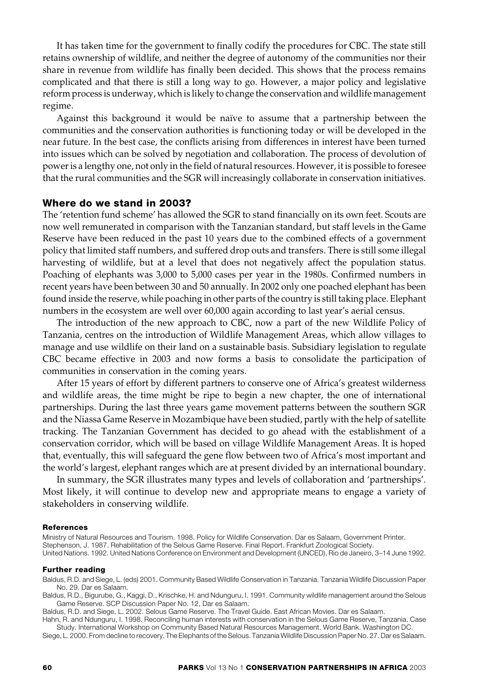It has taken time for the government to finally codify the procedures for CBC. The state still retains ownership of wildlife, and neither the degree of autonomy of the communities nor their share in revenue from wildlife has finally been decided. This shows that the process remains complicated and that there is still a long way to go. However, a major policy and legislative reform process is underway, which is likely to change the conservation and wildlife management regime.

Against this background it would be naïve to assume that a partnership between the communities and the conservation authorities is functioning today or will be developed in the near future. In the best case, the conflicts arising from differences in interest have been turned into issues which can be solved by negotiation and collaboration. The process of devolution of power is a lengthy one, not only in the field of natural resources. However, it is possible to foresee that the rural communities and the SGR will increasingly collaborate in conservation initiatives.

## **Where do we stand in 2003?**

The 'retention fund scheme' has allowed the SGR to stand financially on its own feet. Scouts are now well remunerated in comparison with the Tanzanian standard, but staff levels in the Game Reserve have been reduced in the past 10 years due to the combined effects of a government policy that limited staff numbers, and suffered drop outs and transfers. There is still some illegal harvesting of wildlife, but at a level that does not negatively affect the population status. Poaching of elephants was 3,000 to 5,000 cases per year in the 1980s. Confirmed numbers in recent years have been between 30 and 50 annually. In 2002 only one poached elephant has been found inside the reserve, while poaching in other parts of the country is still taking place. Elephant numbers in the ecosystem are well over 60,000 again according to last year's aerial census.

The introduction of the new approach to CBC, now a part of the new Wildlife Policy of Tanzania, centres on the introduction of Wildlife Management Areas, which allow villages to manage and use wildlife on their land on a sustainable basis. Subsidiary legislation to regulate CBC became effective in 2003 and now forms a basis to consolidate the participation of communities in conservation in the coming years.

After 15 years of effort by different partners to conserve one of Africa's greatest wilderness and wildlife areas, the time might be ripe to begin a new chapter, the one of international partnerships. During the last three years game movement patterns between the southern SGR and the Niassa Game Reserve in Mozambique have been studied, partly with the help of satellite tracking. The Tanzanian Government has decided to go ahead with the establishment of a conservation corridor, which will be based on village Wildlife Management Areas. It is hoped that, eventually, this will safeguard the gene flow between two of Africa's most important and the world's largest, elephant ranges which are at present divided by an international boundary.

In summary, the SGR illustrates many types and levels of collaboration and 'partnerships'. Most likely, it will continue to develop new and appropriate means to engage a variety of stakeholders in conserving wildlife.

#### **References**

Ministry of Natural Resources and Tourism. 1998. Policy for Wildlife Conservation. Dar es Salaam, Government Printer. Stephenson, J. 1987. Rehabilitation of the Selous Game Reserve. Final Report. Frankfurt Zoological Society. United Nations. 1992. United Nations Conference on Environment and Development (UNCED), Rio de Janeiro, 3–14 June 1992.

#### **Further reading**

Baldus, R.D. and Siege, L. (eds) 2001. Community Based Wildlife Conservation in Tanzania. Tanzania Wildlife Discussion Paper No. 29. Dar es Salaam.

Baldus, R.D., Bigurube, G., Kaggi, D., Krischke, H. and Ndunguru, I. 1991. Community wildlife management around the Selous Game Reserve. SCP Discussion Paper No. 12, Dar es Salaam.

Baldus, R.D. and Siege, L. 2002. Selous Game Reserve. The Travel Guide. East African Movies. Dar es Salaam.

Hahn, R. and Ndunguru, I. 1998. Reconciling human interests with conservation in the Selous Game Reserve, Tanzania. Case Study. International Workshop on Community Based Natural Resources Management. World Bank. Washington DC.

Siege, L. 2000. From decline to recovery. The Elephants of the Selous. Tanzania Wildlife Discussion Paper No. 27. Dar es Salaam.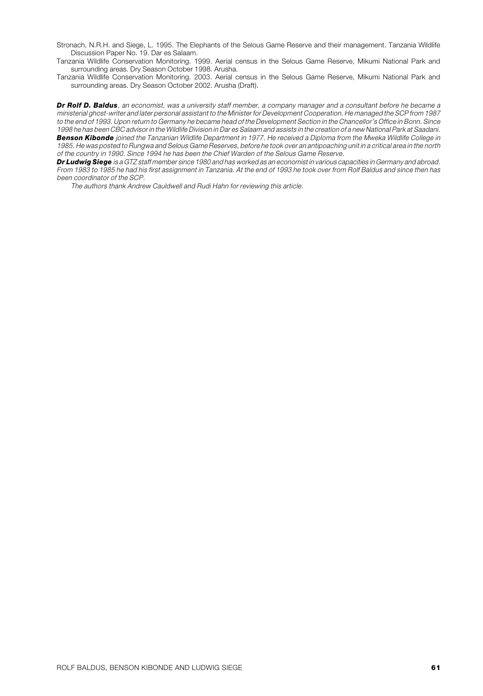Stronach, N.R.H. and Siege, L. 1995. The Elephants of the Selous Game Reserve and their management. Tanzania Wildlife Discussion Paper No. 19. Dar es Salaam.

Tanzania Wildlife Conservation Monitoring. 1999. Aerial census in the Selous Game Reserve, Mikumi National Park and surrounding areas. Dry Season October 1998. Arusha.

Tanzania Wildlife Conservation Monitoring. 2003. Aerial census in the Selous Game Reserve, Mikumi National Park and surrounding areas. Dry Season October 2002. Arusha (Draft).

*Dr Rolf D. Baldus*, an economist, was a university staff member, a company manager and a consultant before he became a ministerial ghost-writer and later personal assistant to the Minister for Development Cooperation. He managed the SCP from 1987 to the end of 1993. Upon return to Germany he became head of the Development Section in the Chancellor's Office in Bonn. Since 1998 he has been CBC advisor in the Wildlife Division in Dar es Salaam and assists in the creation of a new National Park at Saadani. *Benson Kibonde* joined the Tanzanian Wildlife Department in 1977. He received a Diploma from the Mweka Wildlife College in 1985. He was posted to Rungwa and Selous Game Reserves, before he took over an antipoaching unit in a critical area in the north of the country in 1990. Since 1994 he has been the Chief Warden of the Selous Game Reserve.

*Dr Ludwig Siege* is a GTZ staff member since 1980 and has worked as an economist in various capacities in Germany and abroad. From 1983 to 1985 he had his first assignment in Tanzania. At the end of 1993 he took over from Rolf Baldus and since then has been coordinator of the SCP.

The authors thank Andrew Cauldwell and Rudi Hahn for reviewing this article.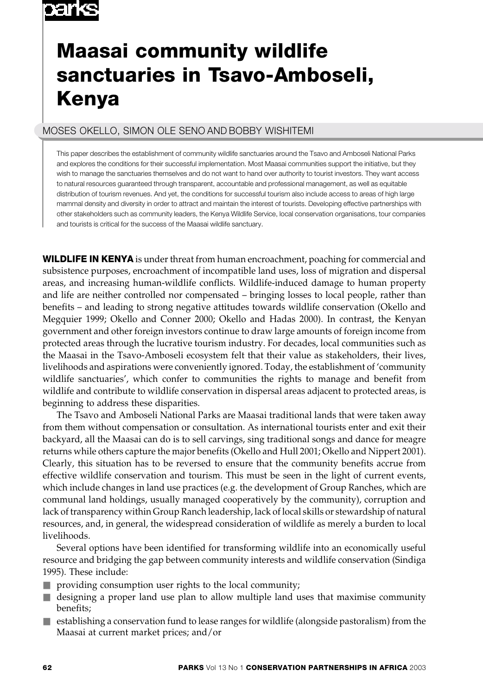# o sin ke

# **Maasai community wildlife sanctuaries in Tsavo-Amboseli, Kenya**

# MOSES OKELLO, SIMON OLE SENO AND BOBBY WISHITEMI

This paper describes the establishment of community wildlife sanctuaries around the Tsavo and Amboseli National Parks and explores the conditions for their successful implementation. Most Maasai communities support the initiative, but they wish to manage the sanctuaries themselves and do not want to hand over authority to tourist investors. They want access to natural resources guaranteed through transparent, accountable and professional management, as well as equitable distribution of tourism revenues. And yet, the conditions for successful tourism also include access to areas of high large mammal density and diversity in order to attract and maintain the interest of tourists. Developing effective partnerships with other stakeholders such as community leaders, the Kenya Wildlife Service, local conservation organisations, tour companies and tourists is critical for the success of the Maasai wildlife sanctuary.

**WILDLIFE IN KENYA** is under threat from human encroachment, poaching for commercial and subsistence purposes, encroachment of incompatible land uses, loss of migration and dispersal areas, and increasing human-wildlife conflicts. Wildlife-induced damage to human property and life are neither controlled nor compensated – bringing losses to local people, rather than benefits – and leading to strong negative attitudes towards wildlife conservation (Okello and Megquier 1999; Okello and Conner 2000; Okello and Hadas 2000). In contrast, the Kenyan government and other foreign investors continue to draw large amounts of foreign income from protected areas through the lucrative tourism industry. For decades, local communities such as the Maasai in the Tsavo-Amboseli ecosystem felt that their value as stakeholders, their lives, livelihoods and aspirations were conveniently ignored. Today, the establishment of 'community wildlife sanctuaries', which confer to communities the rights to manage and benefit from wildlife and contribute to wildlife conservation in dispersal areas adjacent to protected areas, is beginning to address these disparities.

The Tsavo and Amboseli National Parks are Maasai traditional lands that were taken away from them without compensation or consultation. As international tourists enter and exit their backyard, all the Maasai can do is to sell carvings, sing traditional songs and dance for meagre returns while others capture the major benefits (Okello and Hull 2001; Okello and Nippert 2001). Clearly, this situation has to be reversed to ensure that the community benefits accrue from effective wildlife conservation and tourism. This must be seen in the light of current events, which include changes in land use practices (e.g. the development of Group Ranches, which are communal land holdings, usually managed cooperatively by the community), corruption and lack of transparency within Group Ranch leadership, lack of local skills or stewardship of natural resources, and, in general, the widespread consideration of wildlife as merely a burden to local livelihoods.

Several options have been identified for transforming wildlife into an economically useful resource and bridging the gap between community interests and wildlife conservation (Sindiga 1995). These include:

- $\blacksquare$  providing consumption user rights to the local community;
- designing a proper land use plan to allow multiple land uses that maximise community benefits;
- establishing a conservation fund to lease ranges for wildlife (alongside pastoralism) from the Maasai at current market prices; and/or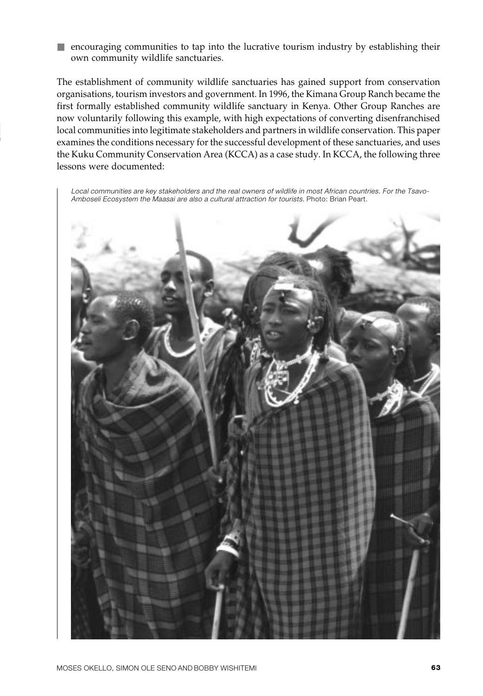■ encouraging communities to tap into the lucrative tourism industry by establishing their own community wildlife sanctuaries.

The establishment of community wildlife sanctuaries has gained support from conservation organisations, tourism investors and government. In 1996, the Kimana Group Ranch became the first formally established community wildlife sanctuary in Kenya. Other Group Ranches are now voluntarily following this example, with high expectations of converting disenfranchised local communities into legitimate stakeholders and partners in wildlife conservation. This paper examines the conditions necessary for the successful development of these sanctuaries, and uses the Kuku Community Conservation Area (KCCA) as a case study. In KCCA, the following three lessons were documented:

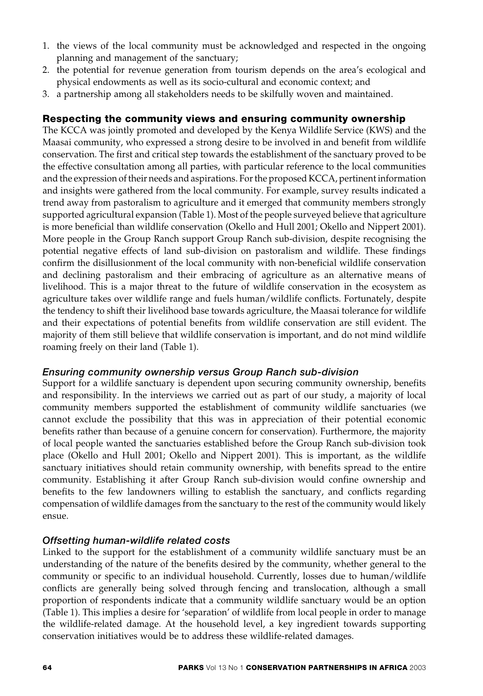- 1. the views of the local community must be acknowledged and respected in the ongoing planning and management of the sanctuary;
- 2. the potential for revenue generation from tourism depends on the area's ecological and physical endowments as well as its socio-cultural and economic context; and
- 3. a partnership among all stakeholders needs to be skilfully woven and maintained.

# **Respecting the community views and ensuring community ownership**

The KCCA was jointly promoted and developed by the Kenya Wildlife Service (KWS) and the Maasai community, who expressed a strong desire to be involved in and benefit from wildlife conservation. The first and critical step towards the establishment of the sanctuary proved to be the effective consultation among all parties, with particular reference to the local communities and the expression of their needs and aspirations. For the proposed KCCA, pertinent information and insights were gathered from the local community. For example, survey results indicated a trend away from pastoralism to agriculture and it emerged that community members strongly supported agricultural expansion (Table 1). Most of the people surveyed believe that agriculture is more beneficial than wildlife conservation (Okello and Hull 2001; Okello and Nippert 2001). More people in the Group Ranch support Group Ranch sub-division, despite recognising the potential negative effects of land sub-division on pastoralism and wildlife. These findings confirm the disillusionment of the local community with non-beneficial wildlife conservation and declining pastoralism and their embracing of agriculture as an alternative means of livelihood. This is a major threat to the future of wildlife conservation in the ecosystem as agriculture takes over wildlife range and fuels human/wildlife conflicts. Fortunately, despite the tendency to shift their livelihood base towards agriculture, the Maasai tolerance for wildlife and their expectations of potential benefits from wildlife conservation are still evident. The majority of them still believe that wildlife conservation is important, and do not mind wildlife roaming freely on their land (Table 1).

## *Ensuring community ownership versus Group Ranch sub-division*

Support for a wildlife sanctuary is dependent upon securing community ownership, benefits and responsibility. In the interviews we carried out as part of our study, a majority of local community members supported the establishment of community wildlife sanctuaries (we cannot exclude the possibility that this was in appreciation of their potential economic benefits rather than because of a genuine concern for conservation). Furthermore, the majority of local people wanted the sanctuaries established before the Group Ranch sub-division took place (Okello and Hull 2001; Okello and Nippert 2001). This is important, as the wildlife sanctuary initiatives should retain community ownership, with benefits spread to the entire community. Establishing it after Group Ranch sub-division would confine ownership and benefits to the few landowners willing to establish the sanctuary, and conflicts regarding compensation of wildlife damages from the sanctuary to the rest of the community would likely ensue.

## *Offsetting human-wildlife related costs*

Linked to the support for the establishment of a community wildlife sanctuary must be an understanding of the nature of the benefits desired by the community, whether general to the community or specific to an individual household. Currently, losses due to human/wildlife conflicts are generally being solved through fencing and translocation, although a small proportion of respondents indicate that a community wildlife sanctuary would be an option (Table 1). This implies a desire for 'separation' of wildlife from local people in order to manage the wildlife-related damage. At the household level, a key ingredient towards supporting conservation initiatives would be to address these wildlife-related damages.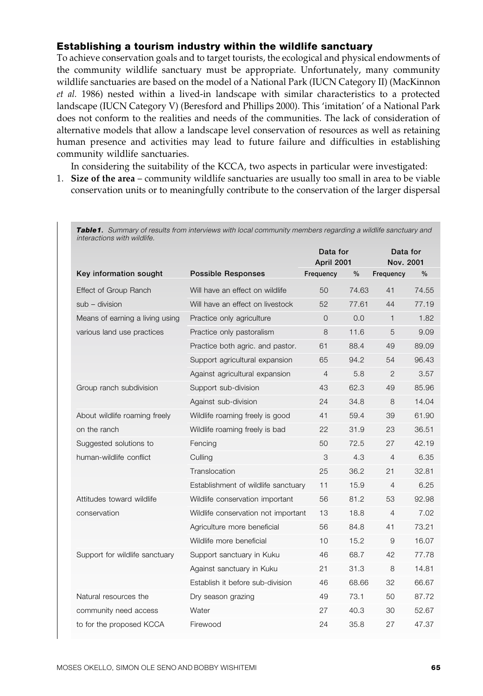## **Establishing a tourism industry within the wildlife sanctuary**

To achieve conservation goals and to target tourists, the ecological and physical endowments of the community wildlife sanctuary must be appropriate. Unfortunately, many community wildlife sanctuaries are based on the model of a National Park (IUCN Category II) (MacKinnon *et al.* 1986) nested within a lived-in landscape with similar characteristics to a protected landscape (IUCN Category V) (Beresford and Phillips 2000). This 'imitation' of a National Park does not conform to the realities and needs of the communities. The lack of consideration of alternative models that allow a landscape level conservation of resources as well as retaining human presence and activities may lead to future failure and difficulties in establishing community wildlife sanctuaries.

In considering the suitability of the KCCA, two aspects in particular were investigated:

1. **Size of the area** – community wildlife sanctuaries are usually too small in area to be viable conservation units or to meaningfully contribute to the conservation of the larger dispersal

| interactions with wildlife.     | Table1. Summary of results from interviews with local community members regarding a wildlife sanctuary and |                |                        |                |                       |  |
|---------------------------------|------------------------------------------------------------------------------------------------------------|----------------|------------------------|----------------|-----------------------|--|
|                                 |                                                                                                            |                | Data for<br>April 2001 |                | Data for<br>Nov. 2001 |  |
| Key information sought          | <b>Possible Responses</b>                                                                                  | Frequency      | $\frac{0}{0}$          | Frequency      | $\frac{0}{0}$         |  |
| Effect of Group Ranch           | Will have an effect on wildlife                                                                            | 50             | 74.63                  | 41             | 74.55                 |  |
| sub - division                  | Will have an effect on livestock                                                                           | 52             | 77.61                  | 44             | 77.19                 |  |
| Means of earning a living using | Practice only agriculture                                                                                  | $\Omega$       | 0.0                    | $\mathbf{1}$   | 1.82                  |  |
| various land use practices      | Practice only pastoralism                                                                                  | 8              | 11.6                   | 5              | 9.09                  |  |
|                                 | Practice both agric. and pastor.                                                                           | 61             | 88.4                   | 49             | 89.09                 |  |
|                                 | Support agricultural expansion                                                                             | 65             | 94.2                   | 54             | 96.43                 |  |
|                                 | Against agricultural expansion                                                                             | $\overline{4}$ | 5.8                    | $\overline{2}$ | 3.57                  |  |
| Group ranch subdivision         | Support sub-division                                                                                       | 43             | 62.3                   | 49             | 85.96                 |  |
|                                 | Against sub-division                                                                                       | 24             | 34.8                   | 8              | 14.04                 |  |
| About wildlife roaming freely   | Wildlife roaming freely is good                                                                            | 41             | 59.4                   | 39             | 61.90                 |  |
| on the ranch                    | Wildlife roaming freely is bad                                                                             | 22             | 31.9                   | 23             | 36.51                 |  |
| Suggested solutions to          | Fencing                                                                                                    | 50             | 72.5                   | 27             | 42.19                 |  |
| human-wildlife conflict         | Culling                                                                                                    | 3              | 4.3                    | $\overline{4}$ | 6.35                  |  |
|                                 | Translocation                                                                                              | 25             | 36.2                   | 21             | 32.81                 |  |
|                                 | Establishment of wildlife sanctuary                                                                        | 11             | 15.9                   | $\overline{4}$ | 6.25                  |  |
| Attitudes toward wildlife       | Wildlife conservation important                                                                            | 56             | 81.2                   | 53             | 92.98                 |  |
| conservation                    | Wildlife conservation not important                                                                        | 13             | 18.8                   | $\overline{4}$ | 7.02                  |  |
|                                 | Agriculture more beneficial                                                                                | 56             | 84.8                   | 41             | 73.21                 |  |
|                                 | Wildlife more beneficial                                                                                   | 10             | 15.2                   | 9              | 16.07                 |  |
| Support for wildlife sanctuary  | Support sanctuary in Kuku                                                                                  | 46             | 68.7                   | 42             | 77.78                 |  |
|                                 | Against sanctuary in Kuku                                                                                  | 21             | 31.3                   | 8              | 14.81                 |  |
|                                 | Establish it before sub-division                                                                           | 46             | 68.66                  | 32             | 66.67                 |  |
| Natural resources the           | Dry season grazing                                                                                         | 49             | 73.1                   | 50             | 87.72                 |  |
| community need access           | Water                                                                                                      | 27             | 40.3                   | 30             | 52.67                 |  |
| to for the proposed KCCA        | Firewood                                                                                                   | 24             | 35.8                   | 27             | 47.37                 |  |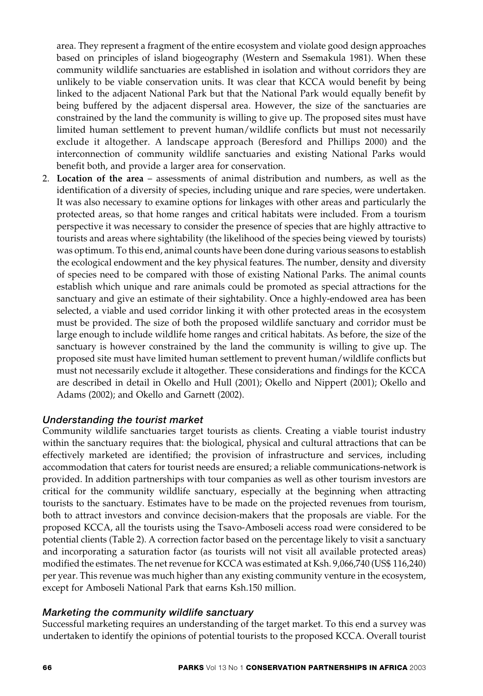area. They represent a fragment of the entire ecosystem and violate good design approaches based on principles of island biogeography (Western and Ssemakula 1981). When these community wildlife sanctuaries are established in isolation and without corridors they are unlikely to be viable conservation units. It was clear that KCCA would benefit by being linked to the adjacent National Park but that the National Park would equally benefit by being buffered by the adjacent dispersal area. However, the size of the sanctuaries are constrained by the land the community is willing to give up. The proposed sites must have limited human settlement to prevent human/wildlife conflicts but must not necessarily exclude it altogether. A landscape approach (Beresford and Phillips 2000) and the interconnection of community wildlife sanctuaries and existing National Parks would benefit both, and provide a larger area for conservation.

2. **Location of the area** – assessments of animal distribution and numbers, as well as the identification of a diversity of species, including unique and rare species, were undertaken. It was also necessary to examine options for linkages with other areas and particularly the protected areas, so that home ranges and critical habitats were included. From a tourism perspective it was necessary to consider the presence of species that are highly attractive to tourists and areas where sightability (the likelihood of the species being viewed by tourists) was optimum. To this end, animal counts have been done during various seasons to establish the ecological endowment and the key physical features. The number, density and diversity of species need to be compared with those of existing National Parks. The animal counts establish which unique and rare animals could be promoted as special attractions for the sanctuary and give an estimate of their sightability. Once a highly-endowed area has been selected, a viable and used corridor linking it with other protected areas in the ecosystem must be provided. The size of both the proposed wildlife sanctuary and corridor must be large enough to include wildlife home ranges and critical habitats. As before, the size of the sanctuary is however constrained by the land the community is willing to give up. The proposed site must have limited human settlement to prevent human/wildlife conflicts but must not necessarily exclude it altogether. These considerations and findings for the KCCA are described in detail in Okello and Hull (2001); Okello and Nippert (2001); Okello and Adams (2002); and Okello and Garnett (2002).

## *Understanding the tourist market*

Community wildlife sanctuaries target tourists as clients. Creating a viable tourist industry within the sanctuary requires that: the biological, physical and cultural attractions that can be effectively marketed are identified; the provision of infrastructure and services, including accommodation that caters for tourist needs are ensured; a reliable communications-network is provided. In addition partnerships with tour companies as well as other tourism investors are critical for the community wildlife sanctuary, especially at the beginning when attracting tourists to the sanctuary. Estimates have to be made on the projected revenues from tourism, both to attract investors and convince decision-makers that the proposals are viable. For the proposed KCCA, all the tourists using the Tsavo-Amboseli access road were considered to be potential clients (Table 2). A correction factor based on the percentage likely to visit a sanctuary and incorporating a saturation factor (as tourists will not visit all available protected areas) modified the estimates. The net revenue for KCCA was estimated at Ksh. 9,066,740 (US\$ 116,240) per year. This revenue was much higher than any existing community venture in the ecosystem, except for Amboseli National Park that earns Ksh.150 million.

## *Marketing the community wildlife sanctuary*

Successful marketing requires an understanding of the target market. To this end a survey was undertaken to identify the opinions of potential tourists to the proposed KCCA. Overall tourist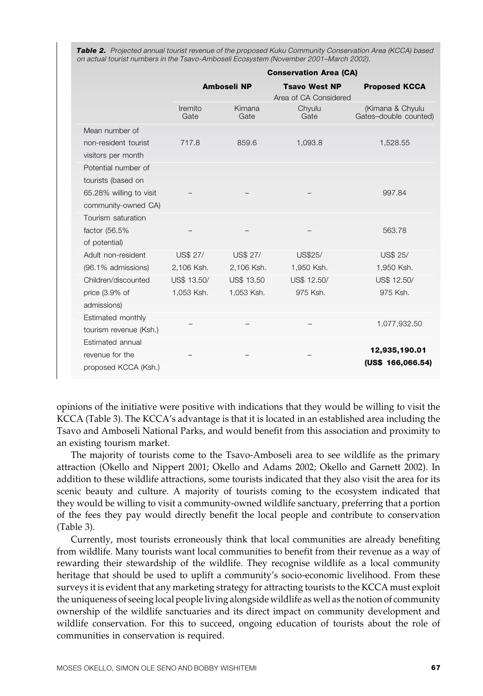**Table 2.** Projected annual tourist revenue of the proposed Kuku Community Conservation Area (KCCA) based on actual tourist numbers in the Tsavo-Amboseli Ecosystem (November 2001–March 2002).

|                         | <b>Conservation Area (CA)</b> |                    |                                               |                                           |
|-------------------------|-------------------------------|--------------------|-----------------------------------------------|-------------------------------------------|
|                         |                               | <b>Amboseli NP</b> | <b>Tsavo West NP</b><br>Area of CA Considered | <b>Proposed KCCA</b>                      |
|                         | Iremito<br>Gate               | Kimana<br>Gate     | Chyulu<br>Gate                                | (Kimana & Chyulu<br>Gates-double counted) |
| Mean number of          |                               |                    |                                               |                                           |
| non-resident tourist    | 717.8                         | 859.6              | 1,093.8                                       | 1,528.55                                  |
| visitors per month      |                               |                    |                                               |                                           |
| Potential number of     |                               |                    |                                               |                                           |
| tourists (based on      |                               |                    |                                               |                                           |
| 65.28% willing to visit |                               |                    |                                               | 997.84                                    |
| community-owned CA)     |                               |                    |                                               |                                           |
| Tourism saturation      |                               |                    |                                               |                                           |
| factor (56.5%           |                               |                    |                                               | 563.78                                    |
| of potential)           |                               |                    |                                               |                                           |
| Adult non-resident      | <b>US\$ 27/</b>               | <b>US\$ 27/</b>    | US\$25/                                       | US\$ 25/                                  |
| (96.1% admissions)      | 2,106 Ksh.                    | 2,106 Ksh.         | 1,950 Ksh.                                    | 1,950 Ksh.                                |
| Children/discounted     | US\$ 13.50/                   | <b>US\$ 13.50</b>  | US\$ 12.50/                                   | US\$ 12.50/                               |
| price $(3.9%$ of        | 1.053 Ksh.                    | 1.053 Ksh.         | 975 Ksh.                                      | 975 Ksh.                                  |
| admissions)             |                               |                    |                                               |                                           |
| Estimated monthly       |                               |                    |                                               | 1,077,932.50                              |
| tourism revenue (Ksh.)  |                               |                    |                                               |                                           |
| Estimated annual        |                               |                    |                                               | 12,935,190.01                             |
| revenue for the         |                               |                    |                                               | (US\$ 166,066.54)                         |
| proposed KCCA (Ksh.)    |                               |                    |                                               |                                           |

opinions of the initiative were positive with indications that they would be willing to visit the KCCA (Table 3). The KCCA's advantage is that it is located in an established area including the Tsavo and Amboseli National Parks, and would benefit from this association and proximity to an existing tourism market.

The majority of tourists come to the Tsavo-Amboseli area to see wildlife as the primary attraction (Okello and Nippert 2001; Okello and Adams 2002; Okello and Garnett 2002). In addition to these wildlife attractions, some tourists indicated that they also visit the area for its scenic beauty and culture. A majority of tourists coming to the ecosystem indicated that they would be willing to visit a community-owned wildlife sanctuary, preferring that a portion of the fees they pay would directly benefit the local people and contribute to conservation (Table 3).

Currently, most tourists erroneously think that local communities are already benefiting from wildlife. Many tourists want local communities to benefit from their revenue as a way of rewarding their stewardship of the wildlife. They recognise wildlife as a local community heritage that should be used to uplift a community's socio-economic livelihood. From these surveys it is evident that any marketing strategy for attracting tourists to the KCCA must exploit the uniqueness of seeing local people living alongside wildlife as well as the notion of community ownership of the wildlife sanctuaries and its direct impact on community development and wildlife conservation. For this to succeed, ongoing education of tourists about the role of communities in conservation is required.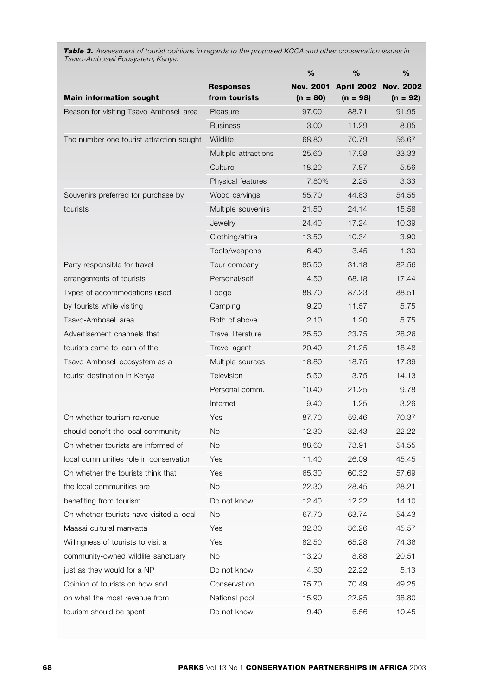*Table 3.* Assessment of tourist opinions in regards to the proposed KCCA and other conservation issues in Tsavo-Amboseli Ecosystem, Kenya.

|                                          |                      | %                | $\%$              | $\%$             |
|------------------------------------------|----------------------|------------------|-------------------|------------------|
|                                          | <b>Responses</b>     | <b>Nov. 2001</b> | <b>April 2002</b> | <b>Nov. 2002</b> |
| <b>Main information sought</b>           | from tourists        | $(n = 80)$       | $(n = 98)$        | $(n = 92)$       |
| Reason for visiting Tsavo-Amboseli area  | Pleasure             | 97.00            | 88.71             | 91.95            |
|                                          | <b>Business</b>      | 3.00             | 11.29             | 8.05             |
| The number one tourist attraction sought | Wildlife             | 68.80            | 70.79             | 56.67            |
|                                          | Multiple attractions | 25.60            | 17.98             | 33.33            |
|                                          | Culture              | 18.20            | 7.87              | 5.56             |
|                                          | Physical features    | 7.80%            | 2.25              | 3.33             |
| Souvenirs preferred for purchase by      | Wood carvings        | 55.70            | 44.83             | 54.55            |
| tourists                                 | Multiple souvenirs   | 21.50            | 24.14             | 15.58            |
|                                          | Jewelry              | 24.40            | 17.24             | 10.39            |
|                                          | Clothing/attire      | 13.50            | 10.34             | 3.90             |
|                                          | Tools/weapons        | 6.40             | 3.45              | 1.30             |
| Party responsible for travel             | Tour company         | 85.50            | 31.18             | 82.56            |
| arrangements of tourists                 | Personal/self        | 14.50            | 68.18             | 17.44            |
| Types of accommodations used             | Lodge                | 88.70            | 87.23             | 88.51            |
| by tourists while visiting               | Camping              | 9.20             | 11.57             | 5.75             |
| Tsavo-Amboseli area                      | Both of above        | 2.10             | 1.20              | 5.75             |
| Advertisement channels that              | Travel literature    | 25.50            | 23.75             | 28.26            |
| tourists came to learn of the            | Travel agent         | 20.40            | 21.25             | 18.48            |
| Tsavo-Amboseli ecosystem as a            | Multiple sources     | 18.80            | 18.75             | 17.39            |
| tourist destination in Kenya             | Television           | 15.50            | 3.75              | 14.13            |
|                                          | Personal comm.       | 10.40            | 21.25             | 9.78             |
|                                          | Internet             | 9.40             | 1.25              | 3.26             |
| On whether tourism revenue               | Yes                  | 87.70            | 59.46             | 70.37            |
| should benefit the local community       | No                   | 12.30            | 32.43             | 22.22            |
| On whether tourists are informed of      | No                   | 88.60            | 73.91             | 54.55            |
| local communities role in conservation   | Yes                  | 11.40            | 26.09             | 45.45            |
| On whether the tourists think that       | Yes                  | 65.30            | 60.32             | 57.69            |
| the local communities are                | <b>No</b>            | 22.30            | 28.45             | 28.21            |
| benefiting from tourism                  | Do not know          | 12.40            | 12.22             | 14.10            |
| On whether tourists have visited a local | No                   | 67.70            | 63.74             | 54.43            |
| Maasai cultural manyatta                 | Yes                  | 32.30            | 36.26             | 45.57            |
| Willingness of tourists to visit a       | Yes                  | 82.50            | 65.28             | 74.36            |
| community-owned wildlife sanctuary       | No                   | 13.20            | 8.88              | 20.51            |
| just as they would for a NP              | Do not know          | 4.30             | 22.22             | 5.13             |
| Opinion of tourists on how and           | Conservation         | 75.70            | 70.49             | 49.25            |
| on what the most revenue from            | National pool        | 15.90            | 22.95             | 38.80            |
| tourism should be spent                  | Do not know          | 9.40             | 6.56              | 10.45            |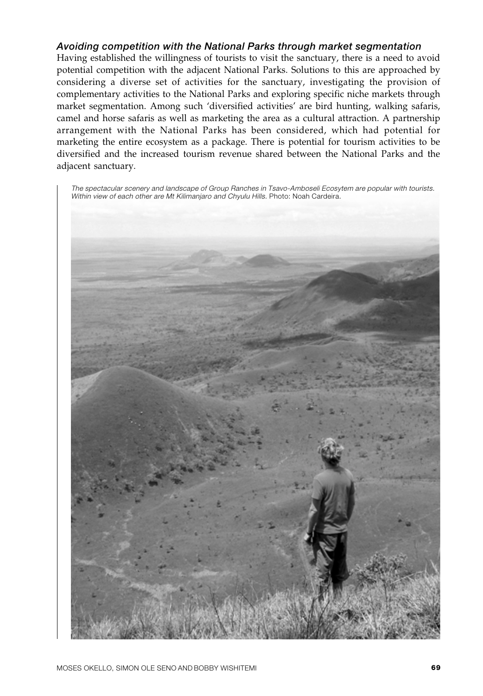## *Avoiding competition with the National Parks through market segmentation*

Having established the willingness of tourists to visit the sanctuary, there is a need to avoid potential competition with the adjacent National Parks. Solutions to this are approached by considering a diverse set of activities for the sanctuary, investigating the provision of complementary activities to the National Parks and exploring specific niche markets through market segmentation. Among such 'diversified activities' are bird hunting, walking safaris, camel and horse safaris as well as marketing the area as a cultural attraction. A partnership arrangement with the National Parks has been considered, which had potential for marketing the entire ecosystem as a package. There is potential for tourism activities to be diversified and the increased tourism revenue shared between the National Parks and the adjacent sanctuary.

The spectacular scenery and landscape of Group Ranches in Tsavo-Amboseli Ecosytem are popular with tourists. Within view of each other are Mt Kilimanjaro and Chyulu Hills. Photo: Noah Cardeira.

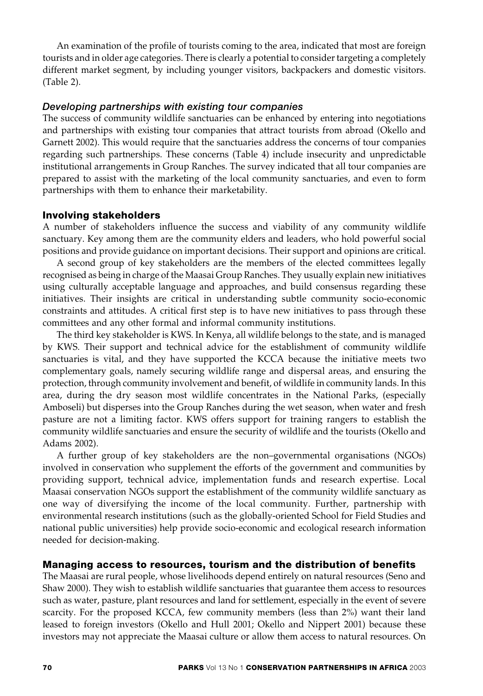An examination of the profile of tourists coming to the area, indicated that most are foreign tourists and in older age categories. There is clearly a potential to consider targeting a completely different market segment, by including younger visitors, backpackers and domestic visitors. (Table 2).

## *Developing partnerships with existing tour companies*

The success of community wildlife sanctuaries can be enhanced by entering into negotiations and partnerships with existing tour companies that attract tourists from abroad (Okello and Garnett 2002). This would require that the sanctuaries address the concerns of tour companies regarding such partnerships. These concerns (Table 4) include insecurity and unpredictable institutional arrangements in Group Ranches. The survey indicated that all tour companies are prepared to assist with the marketing of the local community sanctuaries, and even to form partnerships with them to enhance their marketability.

## **Involving stakeholders**

A number of stakeholders influence the success and viability of any community wildlife sanctuary. Key among them are the community elders and leaders, who hold powerful social positions and provide guidance on important decisions. Their support and opinions are critical.

A second group of key stakeholders are the members of the elected committees legally recognised as being in charge of the Maasai Group Ranches. They usually explain new initiatives using culturally acceptable language and approaches, and build consensus regarding these initiatives. Their insights are critical in understanding subtle community socio-economic constraints and attitudes. A critical first step is to have new initiatives to pass through these committees and any other formal and informal community institutions.

The third key stakeholder is KWS. In Kenya, all wildlife belongs to the state, and is managed by KWS. Their support and technical advice for the establishment of community wildlife sanctuaries is vital, and they have supported the KCCA because the initiative meets two complementary goals, namely securing wildlife range and dispersal areas, and ensuring the protection, through community involvement and benefit, of wildlife in community lands. In this area, during the dry season most wildlife concentrates in the National Parks, (especially Amboseli) but disperses into the Group Ranches during the wet season, when water and fresh pasture are not a limiting factor. KWS offers support for training rangers to establish the community wildlife sanctuaries and ensure the security of wildlife and the tourists (Okello and Adams 2002).

A further group of key stakeholders are the non–governmental organisations (NGOs) involved in conservation who supplement the efforts of the government and communities by providing support, technical advice, implementation funds and research expertise. Local Maasai conservation NGOs support the establishment of the community wildlife sanctuary as one way of diversifying the income of the local community. Further, partnership with environmental research institutions (such as the globally-oriented School for Field Studies and national public universities) help provide socio-economic and ecological research information needed for decision-making.

## **Managing access to resources, tourism and the distribution of benefits**

The Maasai are rural people, whose livelihoods depend entirely on natural resources (Seno and Shaw 2000). They wish to establish wildlife sanctuaries that guarantee them access to resources such as water, pasture, plant resources and land for settlement, especially in the event of severe scarcity. For the proposed KCCA, few community members (less than 2%) want their land leased to foreign investors (Okello and Hull 2001; Okello and Nippert 2001) because these investors may not appreciate the Maasai culture or allow them access to natural resources. On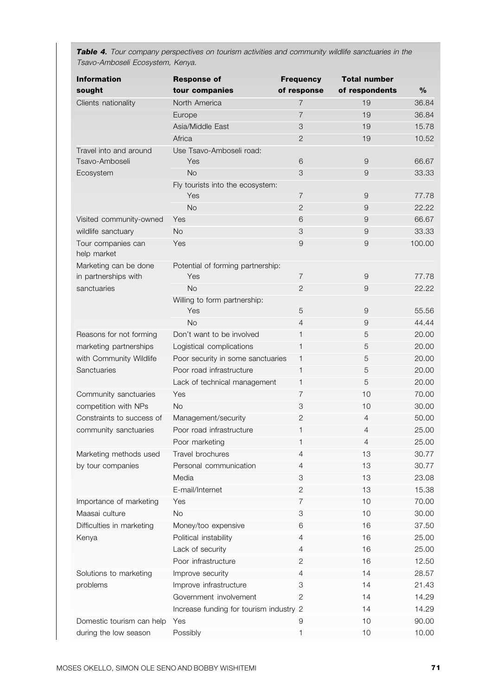| <b>Information</b><br>sought      | <b>Response of</b><br>tour companies    | <b>Frequency</b><br>of response | <b>Total number</b><br>of respondents | %              |
|-----------------------------------|-----------------------------------------|---------------------------------|---------------------------------------|----------------|
| Clients nationality               | North America                           | $\overline{7}$                  | 19                                    | 36.84          |
|                                   | Europe                                  | $\overline{7}$                  | 19                                    | 36.84          |
|                                   | Asia/Middle East                        | 3                               | 19                                    | 15.78          |
|                                   | Africa                                  | $\overline{2}$                  | 19                                    | 10.52          |
| Travel into and around            | Use Tsavo-Amboseli road:                |                                 |                                       |                |
| Tsavo-Amboseli                    | Yes                                     | 6                               | 9                                     | 66.67          |
| Ecosystem                         | <b>No</b>                               | 3                               | 9                                     | 33.33          |
|                                   | Fly tourists into the ecosystem:        |                                 |                                       |                |
|                                   | Yes                                     | $\overline{7}$                  | 9                                     | 77.78          |
|                                   | <b>No</b>                               | $\overline{2}$                  | 9                                     | 22.22          |
| Visited community-owned           | Yes                                     | 6                               | 9                                     | 66.67          |
| wildlife sanctuary                | <b>No</b>                               | 3                               | 9                                     | 33.33          |
| Tour companies can<br>help market | Yes                                     | 9                               | 9                                     | 100.00         |
| Marketing can be done             | Potential of forming partnership:       |                                 |                                       |                |
| in partnerships with              | Yes                                     | $\overline{7}$                  | 9                                     | 77.78          |
| sanctuaries                       | <b>No</b>                               | $\overline{2}$                  | 9                                     | 22.22          |
|                                   | Willing to form partnership:<br>Yes     | 5                               | 9                                     | 55.56          |
|                                   | <b>No</b>                               | $\overline{4}$                  | 9                                     | 44.44          |
| Reasons for not forming           | Don't want to be involved               | $\mathbf{1}$                    | 5                                     | 20.00          |
| marketing partnerships            | Logistical complications                | $\mathbf{1}$                    | 5                                     | 20.00          |
| with Community Wildlife           | Poor security in some sanctuaries       | 1                               | 5                                     | 20.00          |
| Sanctuaries                       | Poor road infrastructure                | 1                               | 5                                     | 20.00          |
|                                   | Lack of technical management            | $\mathbf{1}$                    | 5                                     | 20.00          |
| Community sanctuaries             | Yes                                     | $\overline{7}$                  | 10                                    | 70.00          |
| competition with NPs              | <b>No</b>                               | 3                               | 10                                    | 30.00          |
| Constraints to success of         | Management/security                     | $\overline{2}$                  | 4                                     | 50.00          |
| community sanctuaries             | Poor road infrastructure                | $\mathbf{1}$                    | 4                                     | 25.00          |
|                                   | Poor marketing                          | 1                               | 4                                     | 25.00          |
| Marketing methods used            | Travel brochures                        | $\overline{4}$                  | 13                                    | 30.77          |
| by tour companies                 | Personal communication                  | $\overline{4}$                  | 13                                    | 30.77          |
|                                   | Media                                   | 3                               | 13                                    | 23.08          |
|                                   | E-mail/Internet                         | $\mathbf{2}$                    | 13                                    | 15.38          |
| Importance of marketing           | Yes                                     | 7                               | 10                                    | 70.00          |
| Maasai culture                    | No                                      | 3                               | 10                                    | 30.00          |
| Difficulties in marketing         | Money/too expensive                     | 6                               | 16                                    | 37.50          |
| Kenya                             | Political instability                   | 4                               | 16                                    | 25.00          |
|                                   | Lack of security                        | 4                               | 16                                    | 25.00          |
|                                   | Poor infrastructure                     | 2                               | 16                                    | 12.50          |
| Solutions to marketing            | Improve security                        | 4                               | 14                                    | 28.57          |
| problems                          | Improve infrastructure                  | 3                               | 14                                    | 21.43          |
|                                   | Government involvement                  | 2                               | 14                                    | 14.29          |
|                                   |                                         |                                 |                                       |                |
|                                   | Increase funding for tourism industry 2 |                                 | 14                                    | 14.29          |
| Domestic tourism can help         | Yes<br>Possibly                         | 9                               | 10                                    | 90.00<br>10.00 |
| during the low season             |                                         | 1                               | 10                                    |                |

*Table 4.* Tour company perspectives on tourism activities and community wildlife sanctuaries in the Tsavo-Amboseli Ecosystem, Kenya.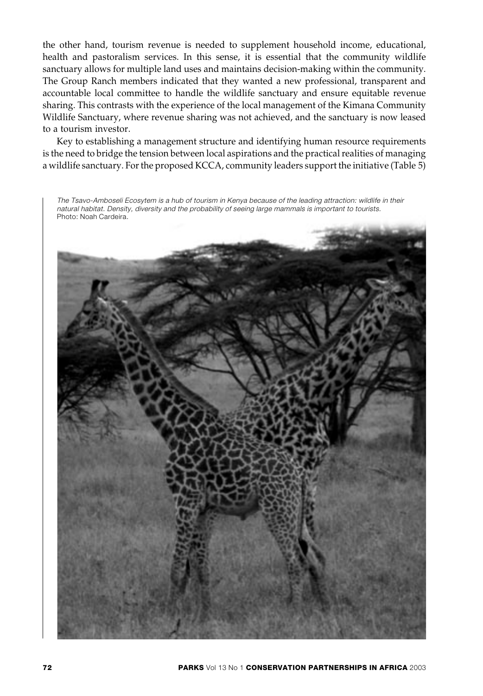the other hand, tourism revenue is needed to supplement household income, educational, health and pastoralism services. In this sense, it is essential that the community wildlife sanctuary allows for multiple land uses and maintains decision-making within the community. The Group Ranch members indicated that they wanted a new professional, transparent and accountable local committee to handle the wildlife sanctuary and ensure equitable revenue sharing. This contrasts with the experience of the local management of the Kimana Community Wildlife Sanctuary, where revenue sharing was not achieved, and the sanctuary is now leased to a tourism investor.

Key to establishing a management structure and identifying human resource requirements is the need to bridge the tension between local aspirations and the practical realities of managing a wildlife sanctuary. For the proposed KCCA, community leaders support the initiative (Table 5)

The Tsavo-Amboseli Ecosytem is a hub of tourism in Kenya because of the leading attraction: wildlife in their natural habitat. Density, diversity and the probability of seeing large mammals is important to tourists. Photo: Noah Cardeira.

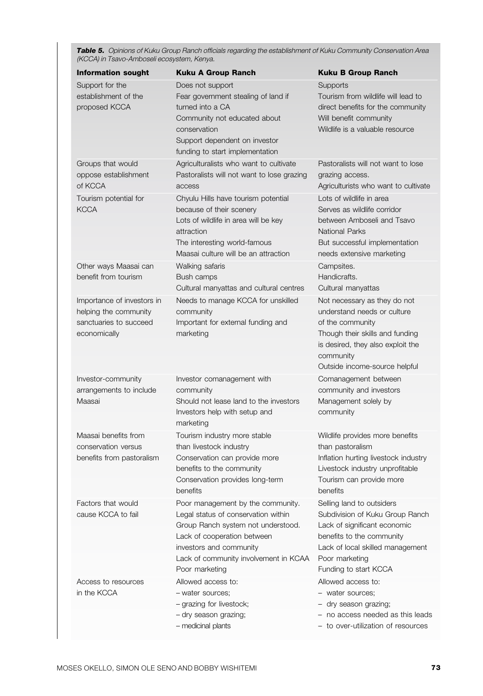*Table 5.* Opinions of Kuku Group Ranch officials regarding the establishment of Kuku Community Conservation Area (KCCA) in Tsavo-Amboseli ecosystem, Kenya.

| <b>Information sought</b>                                                                                                                      | <b>Kuku A Group Ranch</b>                                                                                                                                                                                                                                                                       | <b>Kuku B Group Ranch</b>                                                                                                                                                                                                                                              |
|------------------------------------------------------------------------------------------------------------------------------------------------|-------------------------------------------------------------------------------------------------------------------------------------------------------------------------------------------------------------------------------------------------------------------------------------------------|------------------------------------------------------------------------------------------------------------------------------------------------------------------------------------------------------------------------------------------------------------------------|
| Support for the<br>establishment of the<br>proposed KCCA                                                                                       | Does not support<br>Fear government stealing of land if<br>turned into a CA<br>Community not educated about<br>conservation<br>Support dependent on investor<br>funding to start implementation                                                                                                 | Supports<br>Tourism from wildlife will lead to<br>direct benefits for the community<br>Will benefit community<br>Wildlife is a valuable resource                                                                                                                       |
| Groups that would<br>oppose establishment<br>of KCCA<br>Tourism potential for<br><b>KCCA</b>                                                   | Agriculturalists who want to cultivate<br>Pastoralists will not want to lose grazing<br>access<br>Chyulu Hills have tourism potential<br>because of their scenery<br>Lots of wildlife in area will be key<br>attraction<br>The interesting world-famous<br>Maasai culture will be an attraction | Pastoralists will not want to lose<br>grazing access.<br>Agriculturists who want to cultivate<br>Lots of wildlife in area<br>Serves as wildlife corridor<br>between Amboseli and Tsavo<br>National Parks<br>But successful implementation<br>needs extensive marketing |
| Other ways Maasai can<br>benefit from tourism<br>Importance of investors in<br>helping the community<br>sanctuaries to succeed<br>economically | Walking safaris<br>Bush camps<br>Cultural manyattas and cultural centres<br>Needs to manage KCCA for unskilled<br>community<br>Important for external funding and<br>marketing                                                                                                                  | Campsites.<br>Handicrafts.<br>Cultural manyattas<br>Not necessary as they do not<br>understand needs or culture<br>of the community<br>Though their skills and funding<br>is desired, they also exploit the                                                            |
|                                                                                                                                                |                                                                                                                                                                                                                                                                                                 | community<br>Outside income-source helpful                                                                                                                                                                                                                             |
| Investor-community<br>arrangements to include<br>Maasai                                                                                        | Investor comanagement with<br>community<br>Should not lease land to the investors<br>Investors help with setup and<br>marketing                                                                                                                                                                 | Comanagement between<br>community and investors<br>Management solely by<br>community                                                                                                                                                                                   |
| Maasai benefits from<br>conservation versus<br>benefits from pastoralism                                                                       | Tourism industry more stable<br>than livestock industry<br>Conservation can provide more<br>benefits to the community<br>Conservation provides long-term<br>benefits                                                                                                                            | Wildlife provides more benefits<br>than pastoralism<br>Inflation hurting livestock industry<br>Livestock industry unprofitable<br>Tourism can provide more<br>benefits                                                                                                 |
| Factors that would<br>cause KCCA to fail                                                                                                       | Poor management by the community.<br>Legal status of conservation within<br>Group Ranch system not understood.<br>Lack of cooperation between<br>investors and community<br>Lack of community involvement in KCAA<br>Poor marketing                                                             | Selling land to outsiders<br>Subdivision of Kuku Group Ranch<br>Lack of significant economic<br>benefits to the community<br>Lack of local skilled management<br>Poor marketing<br>Funding to start KCCA                                                               |
| Access to resources<br>in the KCCA                                                                                                             | Allowed access to:<br>- water sources;<br>- grazing for livestock;<br>- dry season grazing;<br>- medicinal plants                                                                                                                                                                               | Allowed access to:<br>- water sources;<br>- dry season grazing;<br>- no access needed as this leads<br>- to over-utilization of resources                                                                                                                              |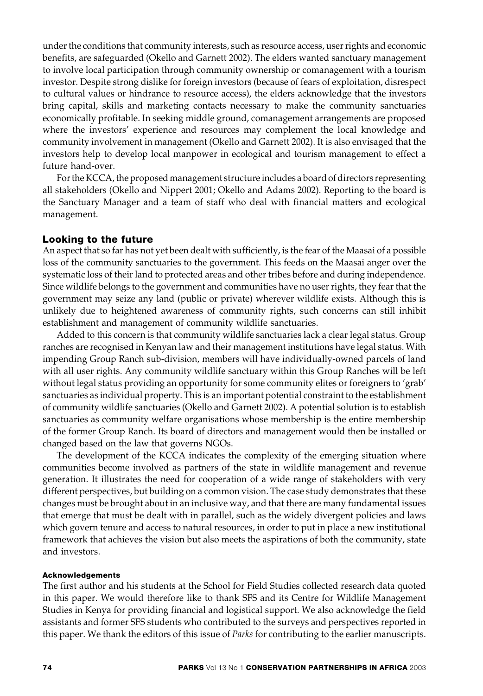under the conditions that community interests, such as resource access, user rights and economic benefits, are safeguarded (Okello and Garnett 2002). The elders wanted sanctuary management to involve local participation through community ownership or comanagement with a tourism investor. Despite strong dislike for foreign investors (because of fears of exploitation, disrespect to cultural values or hindrance to resource access), the elders acknowledge that the investors bring capital, skills and marketing contacts necessary to make the community sanctuaries economically profitable. In seeking middle ground, comanagement arrangements are proposed where the investors' experience and resources may complement the local knowledge and community involvement in management (Okello and Garnett 2002). It is also envisaged that the investors help to develop local manpower in ecological and tourism management to effect a future hand-over.

For the KCCA, the proposed management structure includes a board of directors representing all stakeholders (Okello and Nippert 2001; Okello and Adams 2002). Reporting to the board is the Sanctuary Manager and a team of staff who deal with financial matters and ecological management.

## **Looking to the future**

An aspect that so far has not yet been dealt with sufficiently, is the fear of the Maasai of a possible loss of the community sanctuaries to the government. This feeds on the Maasai anger over the systematic loss of their land to protected areas and other tribes before and during independence. Since wildlife belongs to the government and communities have no user rights, they fear that the government may seize any land (public or private) wherever wildlife exists. Although this is unlikely due to heightened awareness of community rights, such concerns can still inhibit establishment and management of community wildlife sanctuaries.

Added to this concern is that community wildlife sanctuaries lack a clear legal status. Group ranches are recognised in Kenyan law and their management institutions have legal status. With impending Group Ranch sub-division, members will have individually-owned parcels of land with all user rights. Any community wildlife sanctuary within this Group Ranches will be left without legal status providing an opportunity for some community elites or foreigners to 'grab' sanctuaries as individual property. This is an important potential constraint to the establishment of community wildlife sanctuaries (Okello and Garnett 2002). A potential solution is to establish sanctuaries as community welfare organisations whose membership is the entire membership of the former Group Ranch. Its board of directors and management would then be installed or changed based on the law that governs NGOs.

The development of the KCCA indicates the complexity of the emerging situation where communities become involved as partners of the state in wildlife management and revenue generation. It illustrates the need for cooperation of a wide range of stakeholders with very different perspectives, but building on a common vision. The case study demonstrates that these changes must be brought about in an inclusive way, and that there are many fundamental issues that emerge that must be dealt with in parallel, such as the widely divergent policies and laws which govern tenure and access to natural resources, in order to put in place a new institutional framework that achieves the vision but also meets the aspirations of both the community, state and investors.

### **Acknowledgements**

The first author and his students at the School for Field Studies collected research data quoted in this paper. We would therefore like to thank SFS and its Centre for Wildlife Management Studies in Kenya for providing financial and logistical support. We also acknowledge the field assistants and former SFS students who contributed to the surveys and perspectives reported in this paper. We thank the editors of this issue of *Parks* for contributing to the earlier manuscripts.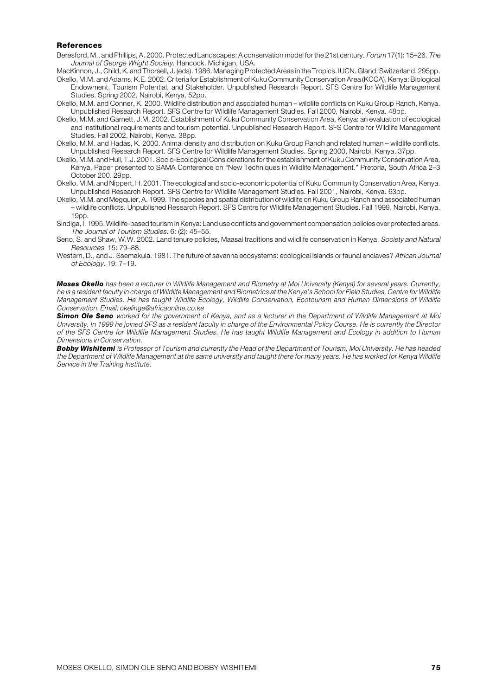#### **References**

- Beresford, M., and Phillips, A. 2000. Protected Landscapes: A conservation model for the 21st century. Forum 17(1): 15–26. The Journal of George Wright Society. Hancock, Michigan, USA.
- MacKinnon, J., Child, K. and Thorsell, J. (eds). 1986. Managing Protected Areas in the Tropics. IUCN. Gland, Switzerland. 295pp.
- Okello, M.M. and Adams, K.E. 2002. Criteria for Establishment of Kuku Community Conservation Area (KCCA), Kenya: Biological Endowment, Tourism Potential, and Stakeholder. Unpublished Research Report. SFS Centre for Wildlife Management Studies. Spring 2002, Nairobi, Kenya. 52pp.
- Okello, M.M. and Conner, K. 2000. Wildlife distribution and associated human wildlife conflicts on Kuku Group Ranch, Kenya. Unpublished Research Report. SFS Centre for Wildlife Management Studies. Fall 2000, Nairobi, Kenya. 48pp.
- Okello, M.M. and Garnett, J.M. 2002. Establishment of Kuku Community Conservation Area, Kenya: an evaluation of ecological and institutional requirements and tourism potential. Unpublished Research Report. SFS Centre for Wildlife Management Studies. Fall 2002. Nairobi, Kenya. 38pp.
- Okello, M.M. and Hadas, K. 2000. Animal density and distribution on Kuku Group Ranch and related human wildlife conflicts. Unpublished Research Report. SFS Centre for Wildlife Management Studies. Spring 2000, Nairobi, Kenya. 37pp.
- Okello, M.M. and Hull, T.J. 2001. Socio-Ecological Considerations for the establishment of Kuku Community Conservation Area, Kenya. Paper presented to SAMA Conference on "New Techniques in Wildlife Management." Pretoria, South Africa 2–3 October 200. 29pp.
- Okello, M.M. and Nippert, H. 2001. The ecological and socio-economic potential of Kuku Community Conservation Area, Kenya. Unpublished Research Report. SFS Centre for Wildlife Management Studies. Fall 2001, Nairobi, Kenya. 63pp.
- Okello, M.M. and Megquier, A. 1999. The species and spatial distribution of wildlife on Kuku Group Ranch and associated human – wildlife conflicts. Unpublished Research Report. SFS Centre for Wildlife Management Studies. Fall 1999, Nairobi, Kenya. 19pp.
- Sindiga, I. 1995. Wildlife-based tourism in Kenya: Land use conflicts and government compensation policies over protected areas. The Journal of Tourism Studies. 6: (2): 45–55.
- Seno, S. and Shaw, W.W. 2002. Land tenure policies, Maasai traditions and wildlife conservation in Kenya. Society and Natural Resources. 15: 79–88.
- Western, D., and J. Ssemakula. 1981. The future of savanna ecosystems: ecological islands or faunal enclaves? African Journal of Ecology. 19: 7–19.

*Moses Okello* has been a lecturer in Wildlife Management and Biometry at Moi University (Kenya) for several years. Currently, he is a resident faculty in charge of Wildlife Management and Biometrics at the Kenya's School for Field Studies, Centre for Wildlife Management Studies. He has taught Wildlife Ecology, Wildlife Conservation, Ecotourism and Human Dimensions of Wildlife Conservation. Email: okelinge@africaonline.co.ke

*Simon Ole Seno* worked for the government of Kenya, and as a lecturer in the Department of Wildlife Management at Moi University. In 1999 he joined SFS as a resident faculty in charge of the Environmental Policy Course. He is currently the Director of the SFS Centre for Wildlife Management Studies. He has taught Wildlife Management and Ecology in addition to Human Dimensions in Conservation.

*Bobby Wishitemi* is Professor of Tourism and currently the Head of the Department of Tourism, Moi University. He has headed the Department of Wildlife Management at the same university and taught there for many years. He has worked for Kenya Wildlife Service in the Training Institute.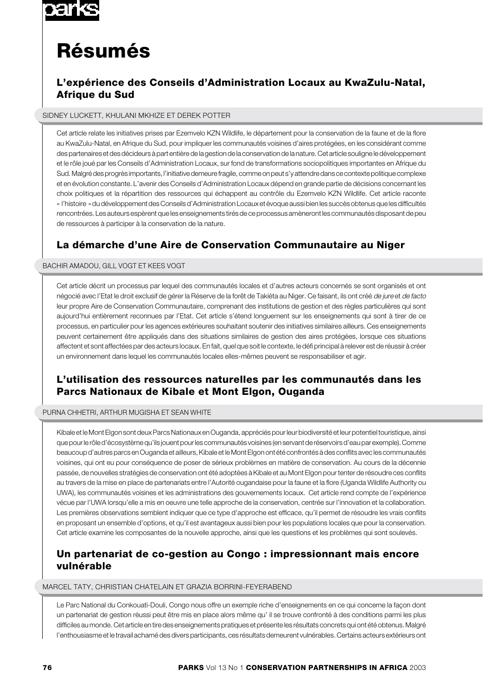

# **Résumés**

# **L'expérience des Conseils d'Administration Locaux au KwaZulu-Natal, Afrique du Sud**

#### SIDNEY LUCKETT, KHULANI MKHIZE ET DEREK POTTER

Cet article relate les initiatives prises par Ezemvelo KZN Wildlife, le département pour la conservation de la faune et de la flore au KwaZulu-Natal, en Afrique du Sud, pour impliquer les communautés voisines d'aires protégées, en les considérant comme des partenaires et des décideurs à part entière de la gestion de la conservation de la nature. Cet article souligne le développement et le rôle joué par les Conseils d'Administration Locaux, sur fond de transformations sociopolitiques importantes en Afrique du Sud. Malgré des progrès importants, l'initiative demeure fragile, comme on peut s'y attendre dans ce contexte politique complexe et en évolution constante. L'avenir des Conseils d'Administration Locaux dépend en grande partie de décisions concernant les choix politiques et la répartition des ressources qui échappent au contrôle du Ezemvelo KZN Wildlife. Cet article raconte « l'histoire » du développement des Conseils d'Administration Locaux et évoque aussi bien les succès obtenus que les difficultés rencontrées. Les auteurs espèrent que les enseignements tirés de ce processus amèneront les communautés disposant de peu de ressources à participer à la conservation de la nature.

# **La démarche d'une Aire de Conservation Communautaire au Niger**

#### BACHIR AMADOU, GILL VOGT ET KEES VOGT

Cet article décrit un processus par lequel des communautés locales et d'autres acteurs concernés se sont organisés et ont négocié avec l'Etat le droit exclusif de gérer la Réserve de la forêt de Takiéta au Niger. Ce faisant, ils ont créé de jure et de facto leur propre Aire de Conservation Communautaire, comprenant des institutions de gestion et des règles particulières qui sont aujourd'hui entièrement reconnues par l'Etat. Cet article s'étend longuement sur les enseignements qui sont à tirer de ce processus, en particulier pour les agences extérieures souhaitant soutenir des initiatives similaires ailleurs. Ces enseignements peuvent certainement être appliqués dans des situations similaires de gestion des aires protégées, lorsque ces situations affectent et sont affectées par des acteurs locaux. En fait, quel que soit le contexte, le défi principal à relever est de réussir à créer un environnement dans lequel les communautés locales elles-mêmes peuvent se responsabiliser et agir.

# **L'utilisation des ressources naturelles par les communautés dans les Parcs Nationaux de Kibale et Mont Elgon, Ouganda**

#### PURNA CHHETRI, ARTHUR MUGISHA ET SEAN WHITE

Kibale et le Mont Elgon sont deux Parcs Nationaux en Ouganda, appréciés pour leur biodiversité et leur potentiel touristique, ainsi que pour le rôle d'écosystème qu'ils jouent pour les communautés voisines (en servant de réservoirs d'eau par exemple). Comme beaucoup d'autres parcs en Ouganda et ailleurs, Kibale et le Mont Elgon ont été confrontés à des conflits avec les communautés voisines, qui ont eu pour conséquence de poser de sérieux problèmes en matière de conservation. Au cours de la décennie passée, de nouvelles stratégies de conservation ont été adoptées à Kibale et au Mont Elgon pour tenter de résoudre ces conflits au travers de la mise en place de partenariats entre l'Autorité ougandaise pour la faune et la flore (Uganda Wildlife Authority ou UWA), les communautés voisines et les administrations des gouvernements locaux. Cet article rend compte de l'expérience vécue par l'UWA lorsqu'elle a mis en oeuvre une telle approche de la conservation, centrée sur l'innovation et la collaboration. Les premières observations semblent indiquer que ce type d'approche est efficace, qu'il permet de résoudre les vrais conflits en proposant un ensemble d'options, et qu'il est avantageux aussi bien pour les populations locales que pour la conservation. Cet article examine les composantes de la nouvelle approche, ainsi que les questions et les problèmes qui sont soulevés.

## **Un partenariat de co-gestion au Congo : impressionnant mais encore vulnérable**

#### MARCEL TATY, CHRISTIAN CHATELAIN ET GRAZIA BORRINI-FEYERABEND

Le Parc National du Conkouati-Douli, Congo nous offre un exemple riche d'enseignements en ce qui concerne la façon dont un partenariat de gestion réussi peut être mis en place alors même qu' il se trouve confronté à des conditions parmi les plus difficiles au monde. Cet article en tire des enseignements pratiques et présente les résultats concrets qui ont été obtenus. Malgré l'enthousiasme et le travail acharné des divers participants, ces résultats demeurent vulnérables. Certains acteurs extérieurs ont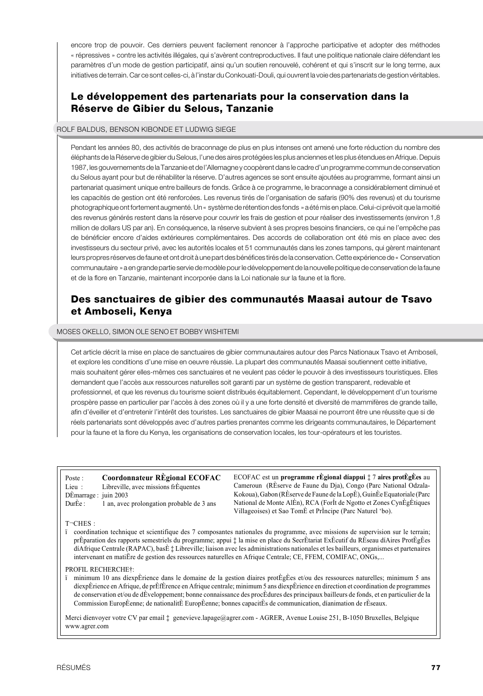encore trop de pouvoir. Ces derniers peuvent facilement renoncer à l'approche participative et adopter des méthodes « répressives » contre les activités illégales, qui s'avèrent contreproductives. Il faut une politique nationale claire défendant les paramètres d'un mode de gestion participatif, ainsi qu'un soutien renouvelé, cohérent et qui s'inscrit sur le long terme, aux initiatives de terrain. Car ce sont celles-ci, à l'instar du Conkouati-Douli, qui ouvrent la voie des partenariats de gestion véritables.

# **Le développement des partenariats pour la conservation dans la Réserve de Gibier du Selous, Tanzanie**

### ROLF BALDUS, BENSON KIBONDE ET LUDWIG SIEGE

Pendant les années 80, des activités de braconnage de plus en plus intenses ont amené une forte réduction du nombre des éléphants de la Réserve de gibier du Selous, l'une des aires protégées les plus anciennes et les plus étendues en Afrique. Depuis 1987, les gouvernements de la Tanzanie et de l'Allemagne y coopèrent dans le cadre d'un programme commun de conservation du Selous ayant pour but de réhabiliter la réserve. D'autres agences se sont ensuite ajoutées au programme, formant ainsi un partenariat quasiment unique entre bailleurs de fonds. Grâce à ce programme, le braconnage a considérablement diminué et les capacités de gestion ont été renforcées. Les revenus tirés de l'organisation de safaris (90% des revenus) et du tourisme photographique ont fortement augmenté. Un « système de rétention des fonds » a été mis en place. Celui-ci prévoit que la moitié des revenus générés restent dans la réserve pour couvrir les frais de gestion et pour réaliser des investissements (environ 1,8 million de dollars US par an). En conséquence, la réserve subvient à ses propres besoins financiers, ce qui ne l'empêche pas de bénéficier encore d'aides extérieures complémentaires. Des accords de collaboration ont été mis en place avec des investisseurs du secteur privé, avec les autorités locales et 51 communautés dans les zones tampons, qui gèrent maintenant leurs propres réserves de faune et ont droit à une part des bénéfices tirés de la conservation. Cette expérience de « Conservation communautaire » a en grande partie servie de modèle pour le développement de la nouvelle politique de conservation de la faune et de la flore en Tanzanie, maintenant incorporée dans la Loi nationale sur la faune et la flore.

## **Des sanctuaires de gibier des communautés Maasai autour de Tsavo et Amboseli, Kenya**

#### MOSES OKELLO, SIMON OLE SENO ET BOBBY WISHITEMI

Cet article décrit la mise en place de sanctuaires de gibier communautaires autour des Parcs Nationaux Tsavo et Amboseli, et explore les conditions d'une mise en oeuvre réussie. La plupart des communautés Maasai soutiennent cette initiative, mais souhaitent gérer elles-mêmes ces sanctuaires et ne veulent pas céder le pouvoir à des investisseurs touristiques. Elles demandent que l'accès aux ressources naturelles soit garanti par un système de gestion transparent, redevable et professionnel, et que les revenus du tourisme soient distribués équitablement. Cependant, le développement d'un tourisme prospère passe en particulier par l'accès à des zones où il y a une forte densité et diversité de mammifères de grande taille, afin d'éveiller et d'entretenir l'intérêt des touristes. Les sanctuaires de gibier Maasai ne pourront être une réussite que si de réels partenariats sont développés avec d'autres parties prenantes comme les dirigeants communautaires, le Département pour la faune et la flore du Kenya, les organisations de conservation locales, les tour-opérateurs et les touristes.

Poste : **Coordonnateur RÈgional ECOFAC** Lieu : Libreville, avec missions frÈquentes DÈmarrage : juin 2003 DurÈe : 1 an, avec prolongation probable de 3 ans

**ECOFAC** est un **programme rEgional díappui**  $\sharp$  7 **aires protEgEes** au Cameroun (RÈserve de Faune du Dja), Congo (Parc National Odzala-Kokoua), Gabon (RÈserve de Faune de la LopÈ), GuinÈe Equatoriale (Parc National de Monte AlÈn), RCA (ForÍt de Ngotto et Zones CynÈgÈtiques Villageoises) et Sao TomÈ et PrÌncipe (Parc Naturel 'bo).

#### T<sup>-</sup>CHES :

Ô coordination technique et scientifique des 7 composantes nationales du programme, avec missions de supervision sur le terrain; prÈparation des rapports semestriels du programme; appui  $\ddagger$  la mise en place du SecrÈtariat ExÈcutif du RÈseau díAires ProtÈgÈes díAfrique Centrale (RAPAC), basÈ ; Libreville; liaison avec les administrations nationales et les bailleurs, organismes et partenaires intervenant en matiÈre de gestion des ressources naturelles en Afrique Centrale; CE, FFEM, COMIFAC, ONGs,...

#### PROFIL RECHERCHE<sup>+</sup>:

 $\ddot{i}$  minimum 10 ans diexpÈrience dans le domaine de la gestion diaires protÈgÈes et/ou des ressources naturelles; minimum 5 ans diexpÈrience en Afrique, de prÈfÈrence en Afrique centrale; minimum 5 ans diexpÈrience en direction et coordination de programmes de conservation et/ou de dÉveloppement; bonne connaissance des procÈdures des principaux bailleurs de fonds, et en particulier de la Commission EuropÈenne; de nationalitÈ EuropÈenne; bonnes capacitÈs de communication, díanimation de rÈseaux.

Merci dienvoyer votre CV par email : genevieve.lapage@agrer.com - AGRER, Avenue Louise 251, B-1050 Bruxelles, Belgique www.agrer.com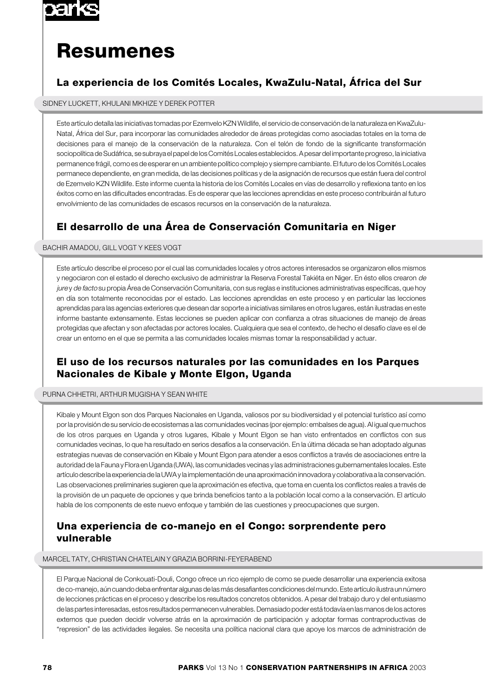

# **Resumenes**

# **La experiencia de los Comités Locales, KwaZulu-Natal, África del Sur**

SIDNEY LUCKETT, KHULANI MKHIZE Y DEREK POTTER

Este artículo detalla las iniciativas tomadas por Ezemvelo KZN Wildlife, el servicio de conservación de la naturaleza en KwaZulu-Natal, África del Sur, para incorporar las comunidades alrededor de áreas protegidas como asociadas totales en la toma de decisiones para el manejo de la conservación de la naturaleza. Con el telón de fondo de la significante transformación sociopolítica de Sudáfrica, se subraya el papel de los Comités Locales establecidos. A pesar del importante progreso, la iniciativa permanence frágil, como es de esperar en un ambiente político complejo y siempre cambiante. El futuro de los Comités Locales permanece dependiente, en gran medida, de las decisiones políticas y de la asignación de recursos que están fuera del control de Ezemvelo KZN Wildlife. Este informe cuenta la historia de los Comités Locales en vías de desarrollo y reflexiona tanto en los éxitos como en las dificultades encontradas. Es de esperar que las lecciones aprendidas en este proceso contribuirán al futuro envolvimiento de las comunidades de escasos recursos en la conservación de la naturaleza.

# **El desarrollo de una Área de Conservación Comunitaria en Niger**

#### BACHIR AMADOU, GILL VOGT Y KEES VOGT

Este artículo describe el proceso por el cual las comunidades locales y otros actores interesados se organizaron ellos mismos y negociaron con el estado el derecho exclusivo de administrar la Reserva Forestal Takiéta en Niger. En ésto ellos crearon de jure y de facto su propia Área de Conservación Comunitaria, con sus reglas e instituciones administrativas específicas, que hoy en día son totalmente reconocidas por el estado. Las lecciones aprendidas en este proceso y en particular las lecciones aprendidas para las agencias exteriores que desean dar soporte a iniciativas similares en otros lugares, están ilustradas en este informe bastante extensamente. Estas lecciones se pueden aplicar con confianza a otras situaciones de manejo de áreas protegidas que afectan y son afectadas por actores locales. Cualquiera que sea el contexto, de hecho el desafío clave es el de crear un entorno en el que se permita a las comunidades locales mismas tomar la responsabilidad y actuar.

## **El uso de los recursos naturales por las comunidades en los Parques Nacionales de Kibale y Monte Elgon, Uganda**

#### PURNA CHHETRI, ARTHUR MUGISHA Y SEAN WHITE

Kibale y Mount Elgon son dos Parques Nacionales en Uganda, valiosos por su biodiversidad y el potencial turístico así como por la provisión de su servicio de ecosistemas a las comunidades vecinas (por ejemplo: embalses de agua). Al igual que muchos de los otros parques en Uganda y otros lugares, Kibale y Mount Elgon se han visto enfrentados en conflictos con sus comunidades vecinas, lo que ha resultado en serios desafíos a la conservación. En la última década se han adoptado algunas estrategias nuevas de conservación en Kibale y Mount Elgon para atender a esos conflictos a través de asociaciones entre la autoridad de la Fauna y Flora en Uganda (UWA), las comunidades vecinas y las administraciones gubernamentales locales. Este artículo describe la experiencia de la UWA y la implementación de una aproximación innovadora y colaborativa a la conservación. Las observaciones preliminaries sugieren que la aproximación es efectiva, que toma en cuenta los conflictos reales a través de la provisión de un paquete de opciones y que brinda beneficios tanto a la población local como a la conservación. El artículo habla de los components de este nuevo enfoque y también de las cuestiones y preocupaciones que surgen.

## **Una experiencia de co-manejo en el Congo: sorprendente pero vulnerable**

MARCEL TATY, CHRISTIAN CHATELAIN Y GRAZIA BORRINI-FEYERABEND

El Parque Nacional de Conkouati-Douli, Congo ofrece un rico ejemplo de como se puede desarrollar una experiencia exitosa de co-manejo, aún cuando deba enfrentar algunas de las más desafiantes condiciones del mundo. Este artículo ilustra un número de lecciones prácticas en el proceso y describe los resultados concretos obtenidos. A pesar del trabajo duro y del entusiasmo de las partes interesadas, estos resultados permanecen vulnerables. Demasiado poder está todavía en las manos de los actores externos que pueden decidir volverse atrás en la aproximación de participación y adoptar formas contraproductivas de "represion" de las actividades ilegales. Se necesita una política nacional clara que apoye los marcos de administración de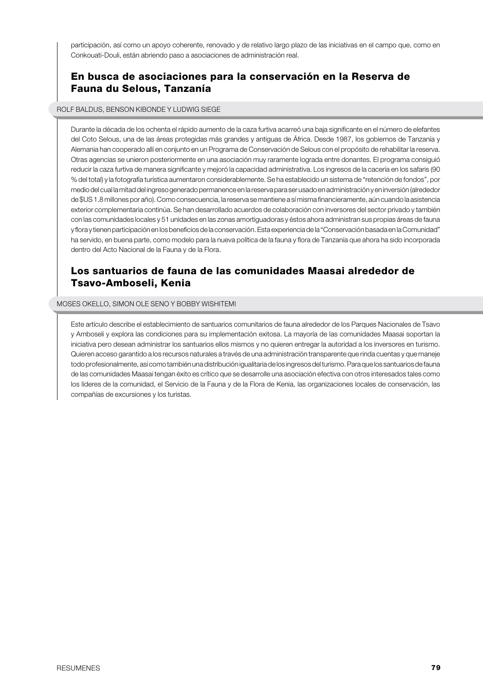participación, así como un apoyo coherente, renovado y de relativo largo plazo de las iniciativas en el campo que, como en Conkouati-Douli, están abriendo paso a asociaciones de administración real.

## **En busca de asociaciones para la conservación en la Reserva de Fauna du Selous, Tanzanía**

#### ROLF BALDUS, BENSON KIBONDE Y LUDWIG SIEGE

Durante la década de los ochenta el rápido aumento de la caza furtiva acarreó una baja significante en el número de elefantes del Coto Selous, una de las áreas protegidas más grandes y antiguas de África. Desde 1987, los gobiernos de Tanzanía y Alemania han cooperado allí en conjunto en un Programa de Conservación de Selous con el propósito de rehabilitar la reserva. Otras agencias se unieron posteriormente en una asociación muy raramente lograda entre donantes. El programa consiguió reducir la caza furtiva de manera significante y mejoró la capacidad administrativa. Los ingresos de la cacería en los safaris (90) % del total) y la fotografía turística aumentaron considerablemente. Se ha establecido un sistema de "retención de fondos", por medio del cual la mitad del ingreso generado permanence en la reserva para ser usado en administración y en inversión (alrededor de \$US 1.8 millones por año). Como consecuencia, la reserva se mantiene a sí misma financieramente, aún cuando la asistencia exterior complementaria continúa. Se han desarrollado acuerdos de colaboración con inversores del sector privado y también con las comunidades locales y 51 unidades en las zonas amortiguadoras y éstos ahora administran sus propias áreas de fauna y flora y tienen participación en los beneficios de la conservación. Esta experiencia de la "Conservación basada en la Comunidad" ha servido, en buena parte, como modelo para la nueva política de la fauna y flora de Tanzanía que ahora ha sido incorporada dentro del Acto Nacional de la Fauna y de la Flora.

## **Los santuarios de fauna de las comunidades Maasai alrededor de Tsavo-Amboseli, Kenia**

MOSES OKELLO, SIMON OLE SENO Y BOBBY WISHITEMI

Este artículo describe el establecimiento de santuarios comunitarios de fauna alrededor de los Parques Nacionales de Tsavo y Amboseli y explora las condiciones para su implementación exitosa. La mayoría de las comunidades Maasai soportan la iniciativa pero desean administrar los santuarios ellos mismos y no quieren entregar la autoridad a los inversores en turismo. Quieren acceso garantido a los recursos naturales a través de una administración transparente que rinda cuentas y que maneje todo profesionalmente, así como también una distribución igualitaria de los ingresos del turismo. Para que los santuarios de fauna de las comunidades Maasai tengan éxito es crítico que se desarrolle una asociación efectiva con otros interesados tales como los líderes de la comunidad, el Servicio de la Fauna y de la Flora de Kenia, las organizaciones locales de conservación, las compañías de excursiones y los turistas.